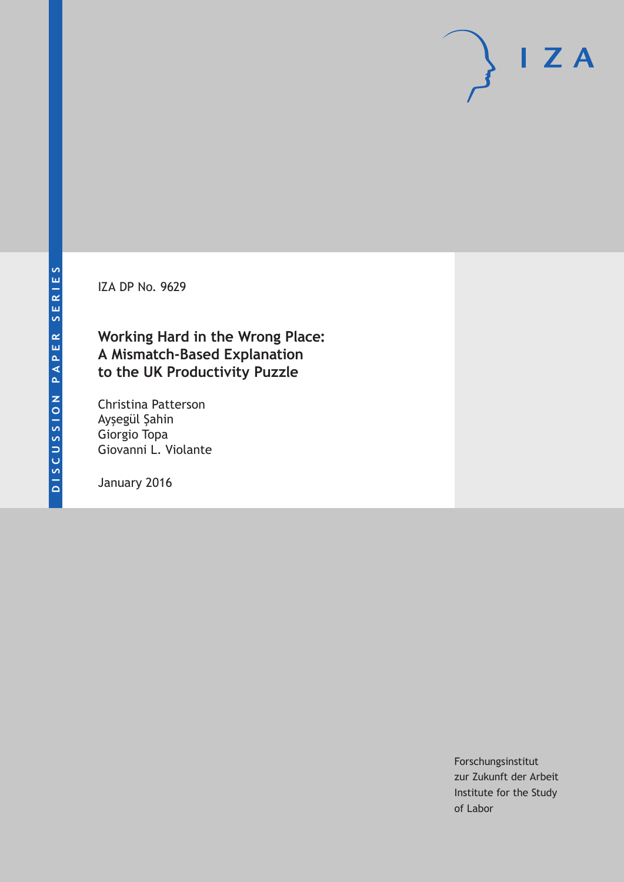IZA DP No. 9629

## **Working Hard in the Wrong Place: A Mismatch-Based Explanation to the UK Productivity Puzzle**

Christina Patterson Ayşegül Şahin Giorgio Topa Giovanni L. Violante

January 2016

Forschungsinstitut zur Zukunft der Arbeit Institute for the Study of Labor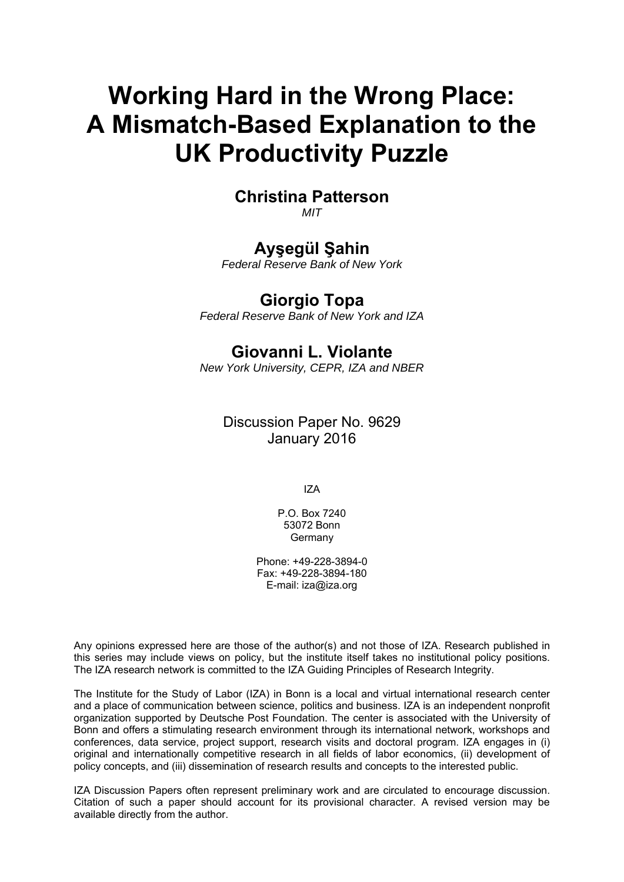# **Working Hard in the Wrong Place: A Mismatch-Based Explanation to the UK Productivity Puzzle**

## **Christina Patterson**

*MIT* 

## **Ayşegül Şahin**

*Federal Reserve Bank of New York* 

### **Giorgio Topa**

*Federal Reserve Bank of New York and IZA*

## **Giovanni L. Violante**

*New York University, CEPR, IZA and NBER*

Discussion Paper No. 9629 January 2016

IZA

P.O. Box 7240 53072 Bonn **Germany** 

Phone: +49-228-3894-0 Fax: +49-228-3894-180 E-mail: iza@iza.org

Any opinions expressed here are those of the author(s) and not those of IZA. Research published in this series may include views on policy, but the institute itself takes no institutional policy positions. The IZA research network is committed to the IZA Guiding Principles of Research Integrity.

The Institute for the Study of Labor (IZA) in Bonn is a local and virtual international research center and a place of communication between science, politics and business. IZA is an independent nonprofit organization supported by Deutsche Post Foundation. The center is associated with the University of Bonn and offers a stimulating research environment through its international network, workshops and conferences, data service, project support, research visits and doctoral program. IZA engages in (i) original and internationally competitive research in all fields of labor economics, (ii) development of policy concepts, and (iii) dissemination of research results and concepts to the interested public.

IZA Discussion Papers often represent preliminary work and are circulated to encourage discussion. Citation of such a paper should account for its provisional character. A revised version may be available directly from the author.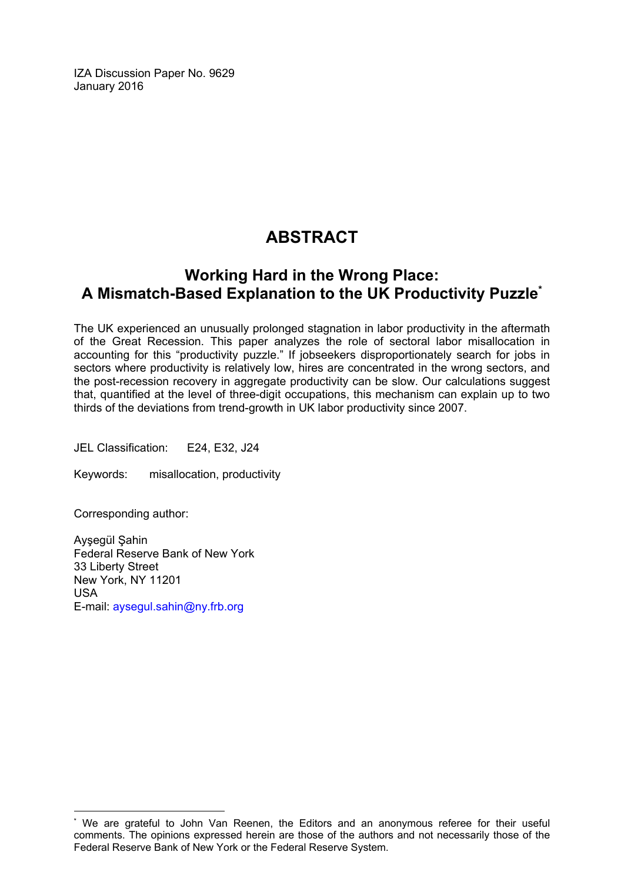IZA Discussion Paper No. 9629 January 2016

## **ABSTRACT**

## **Working Hard in the Wrong Place: A Mismatch-Based Explanation to the UK Productivity Puzzle\***

The UK experienced an unusually prolonged stagnation in labor productivity in the aftermath of the Great Recession. This paper analyzes the role of sectoral labor misallocation in accounting for this "productivity puzzle." If jobseekers disproportionately search for jobs in sectors where productivity is relatively low, hires are concentrated in the wrong sectors, and the post-recession recovery in aggregate productivity can be slow. Our calculations suggest that, quantified at the level of three-digit occupations, this mechanism can explain up to two thirds of the deviations from trend-growth in UK labor productivity since 2007.

JEL Classification: E24, E32, J24

Keywords: misallocation, productivity

Corresponding author:

 $\overline{a}$ 

Ayşegül Şahin Federal Reserve Bank of New York 33 Liberty Street New York, NY 11201 USA E-mail: aysegul.sahin@ny.frb.org

<sup>\*</sup> We are grateful to John Van Reenen, the Editors and an anonymous referee for their useful comments. The opinions expressed herein are those of the authors and not necessarily those of the Federal Reserve Bank of New York or the Federal Reserve System.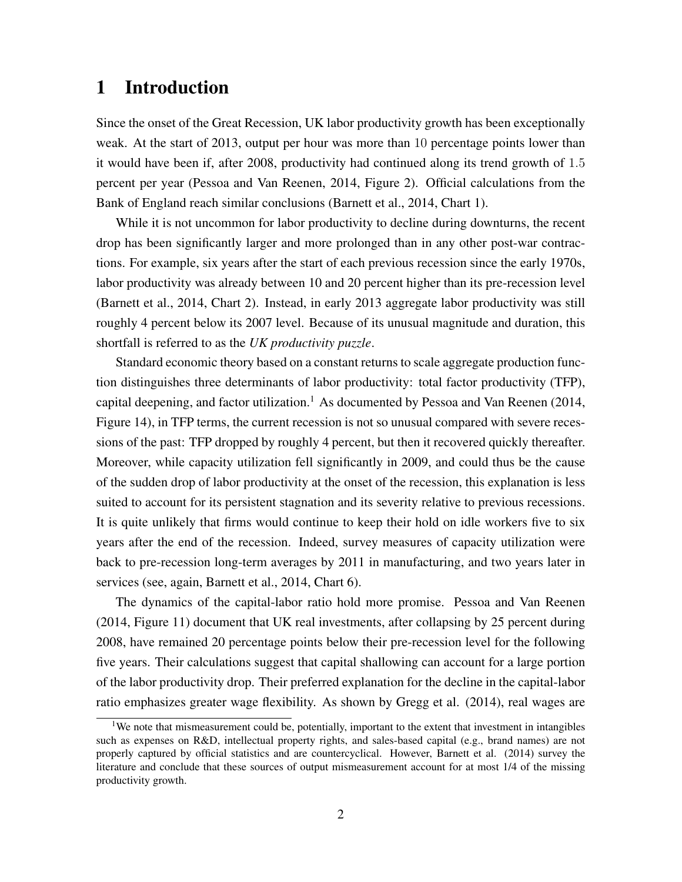## 1 Introduction

Since the onset of the Great Recession, UK labor productivity growth has been exceptionally weak. At the start of 2013, output per hour was more than 10 percentage points lower than it would have been if, after 2008, productivity had continued along its trend growth of 1*.*5 percent per year (Pessoa and Van Reenen, 2014, Figure 2). Official calculations from the Bank of England reach similar conclusions (Barnett et al., 2014, Chart 1).

While it is not uncommon for labor productivity to decline during downturns, the recent drop has been significantly larger and more prolonged than in any other post-war contractions. For example, six years after the start of each previous recession since the early 1970s, labor productivity was already between 10 and 20 percent higher than its pre-recession level (Barnett et al., 2014, Chart 2). Instead, in early 2013 aggregate labor productivity was still roughly 4 percent below its 2007 level. Because of its unusual magnitude and duration, this shortfall is referred to as the *UK productivity puzzle*.

Standard economic theory based on a constant returns to scale aggregate production function distinguishes three determinants of labor productivity: total factor productivity (TFP), capital deepening, and factor utilization.<sup>1</sup> As documented by Pessoa and Van Reenen (2014, Figure 14), in TFP terms, the current recession is not so unusual compared with severe recessions of the past: TFP dropped by roughly 4 percent, but then it recovered quickly thereafter. Moreover, while capacity utilization fell significantly in 2009, and could thus be the cause of the sudden drop of labor productivity at the onset of the recession, this explanation is less suited to account for its persistent stagnation and its severity relative to previous recessions. It is quite unlikely that firms would continue to keep their hold on idle workers five to six years after the end of the recession. Indeed, survey measures of capacity utilization were back to pre-recession long-term averages by 2011 in manufacturing, and two years later in services (see, again, Barnett et al., 2014, Chart 6).

The dynamics of the capital-labor ratio hold more promise. Pessoa and Van Reenen (2014, Figure 11) document that UK real investments, after collapsing by 25 percent during 2008, have remained 20 percentage points below their pre-recession level for the following five years. Their calculations suggest that capital shallowing can account for a large portion of the labor productivity drop. Their preferred explanation for the decline in the capital-labor ratio emphasizes greater wage flexibility. As shown by Gregg et al. (2014), real wages are

<sup>&</sup>lt;sup>1</sup>We note that mismeasurement could be, potentially, important to the extent that investment in intangibles such as expenses on R&D, intellectual property rights, and sales-based capital (e.g., brand names) are not properly captured by official statistics and are countercyclical. However, Barnett et al. (2014) survey the literature and conclude that these sources of output mismeasurement account for at most 1/4 of the missing productivity growth.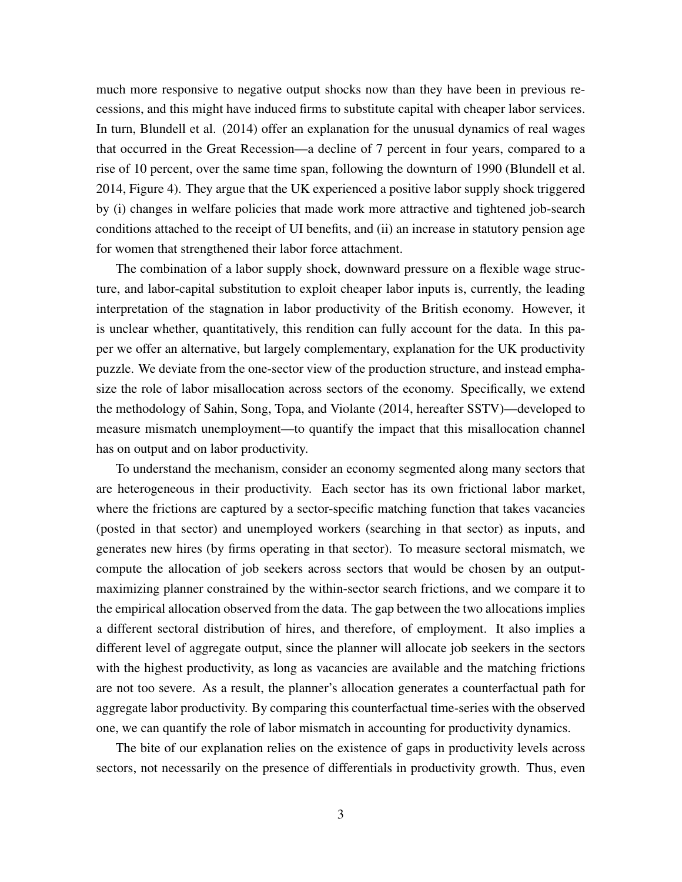much more responsive to negative output shocks now than they have been in previous recessions, and this might have induced firms to substitute capital with cheaper labor services. In turn, Blundell et al. (2014) offer an explanation for the unusual dynamics of real wages that occurred in the Great Recession—a decline of 7 percent in four years, compared to a rise of 10 percent, over the same time span, following the downturn of 1990 (Blundell et al. 2014, Figure 4). They argue that the UK experienced a positive labor supply shock triggered by (i) changes in welfare policies that made work more attractive and tightened job-search conditions attached to the receipt of UI benefits, and (ii) an increase in statutory pension age for women that strengthened their labor force attachment.

The combination of a labor supply shock, downward pressure on a flexible wage structure, and labor-capital substitution to exploit cheaper labor inputs is, currently, the leading interpretation of the stagnation in labor productivity of the British economy. However, it is unclear whether, quantitatively, this rendition can fully account for the data. In this paper we offer an alternative, but largely complementary, explanation for the UK productivity puzzle. We deviate from the one-sector view of the production structure, and instead emphasize the role of labor misallocation across sectors of the economy. Specifically, we extend the methodology of Sahin, Song, Topa, and Violante (2014, hereafter SSTV)—developed to measure mismatch unemployment—to quantify the impact that this misallocation channel has on output and on labor productivity.

To understand the mechanism, consider an economy segmented along many sectors that are heterogeneous in their productivity. Each sector has its own frictional labor market, where the frictions are captured by a sector-specific matching function that takes vacancies (posted in that sector) and unemployed workers (searching in that sector) as inputs, and generates new hires (by firms operating in that sector). To measure sectoral mismatch, we compute the allocation of job seekers across sectors that would be chosen by an outputmaximizing planner constrained by the within-sector search frictions, and we compare it to the empirical allocation observed from the data. The gap between the two allocations implies a different sectoral distribution of hires, and therefore, of employment. It also implies a different level of aggregate output, since the planner will allocate job seekers in the sectors with the highest productivity, as long as vacancies are available and the matching frictions are not too severe. As a result, the planner's allocation generates a counterfactual path for aggregate labor productivity. By comparing this counterfactual time-series with the observed one, we can quantify the role of labor mismatch in accounting for productivity dynamics.

The bite of our explanation relies on the existence of gaps in productivity levels across sectors, not necessarily on the presence of differentials in productivity growth. Thus, even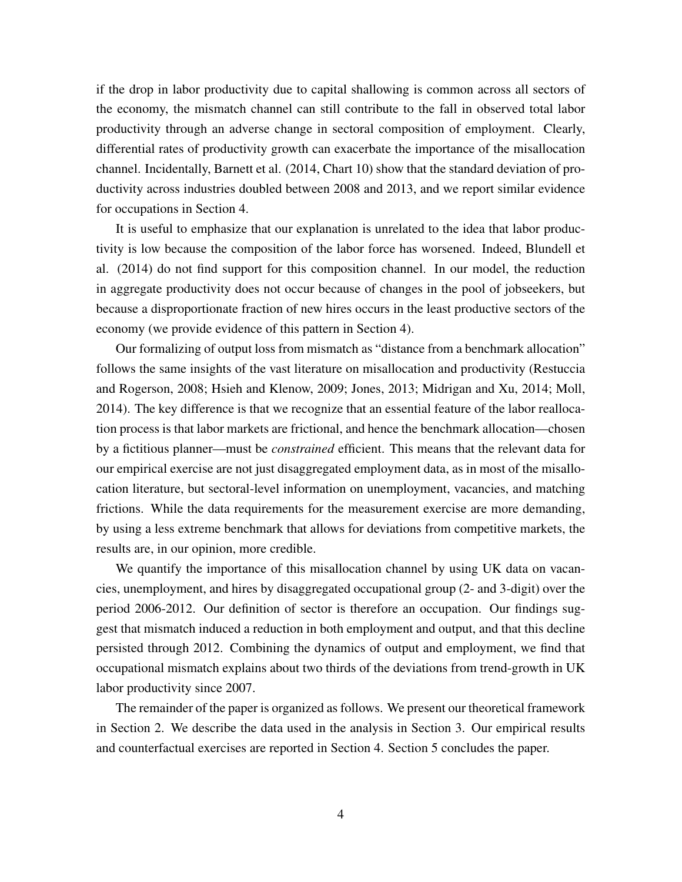if the drop in labor productivity due to capital shallowing is common across all sectors of the economy, the mismatch channel can still contribute to the fall in observed total labor productivity through an adverse change in sectoral composition of employment. Clearly, differential rates of productivity growth can exacerbate the importance of the misallocation channel. Incidentally, Barnett et al. (2014, Chart 10) show that the standard deviation of productivity across industries doubled between 2008 and 2013, and we report similar evidence for occupations in Section 4.

It is useful to emphasize that our explanation is unrelated to the idea that labor productivity is low because the composition of the labor force has worsened. Indeed, Blundell et al. (2014) do not find support for this composition channel. In our model, the reduction in aggregate productivity does not occur because of changes in the pool of jobseekers, but because a disproportionate fraction of new hires occurs in the least productive sectors of the economy (we provide evidence of this pattern in Section 4).

Our formalizing of output loss from mismatch as "distance from a benchmark allocation" follows the same insights of the vast literature on misallocation and productivity (Restuccia and Rogerson, 2008; Hsieh and Klenow, 2009; Jones, 2013; Midrigan and Xu, 2014; Moll, 2014). The key difference is that we recognize that an essential feature of the labor reallocation process is that labor markets are frictional, and hence the benchmark allocation—chosen by a fictitious planner—must be *constrained* efficient. This means that the relevant data for our empirical exercise are not just disaggregated employment data, as in most of the misallocation literature, but sectoral-level information on unemployment, vacancies, and matching frictions. While the data requirements for the measurement exercise are more demanding, by using a less extreme benchmark that allows for deviations from competitive markets, the results are, in our opinion, more credible.

We quantify the importance of this misallocation channel by using UK data on vacancies, unemployment, and hires by disaggregated occupational group (2- and 3-digit) over the period 2006-2012. Our definition of sector is therefore an occupation. Our findings suggest that mismatch induced a reduction in both employment and output, and that this decline persisted through 2012. Combining the dynamics of output and employment, we find that occupational mismatch explains about two thirds of the deviations from trend-growth in UK labor productivity since 2007.

The remainder of the paper is organized as follows. We present our theoretical framework in Section 2. We describe the data used in the analysis in Section 3. Our empirical results and counterfactual exercises are reported in Section 4. Section 5 concludes the paper.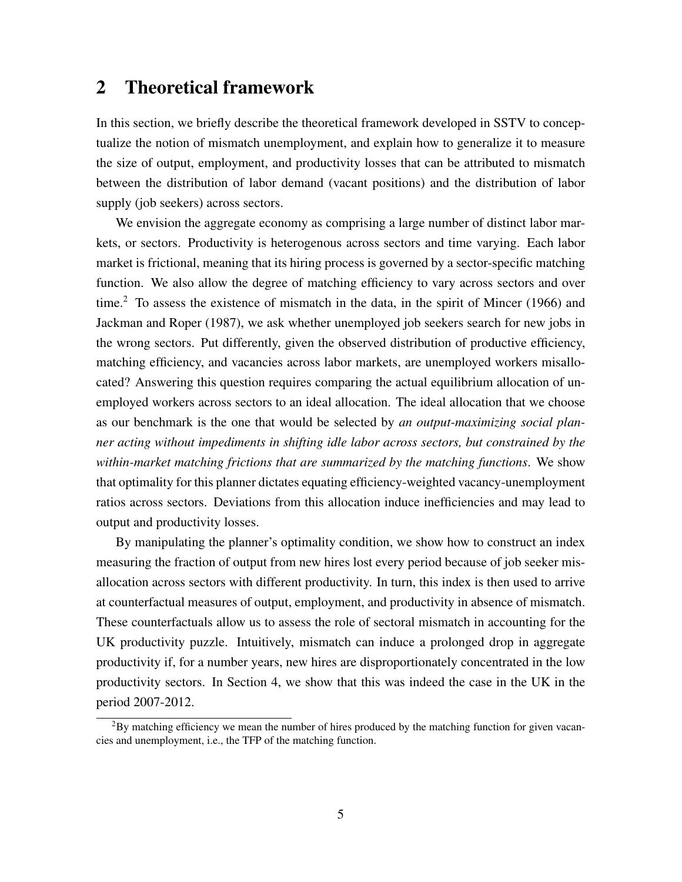## 2 Theoretical framework

In this section, we briefly describe the theoretical framework developed in SSTV to conceptualize the notion of mismatch unemployment, and explain how to generalize it to measure the size of output, employment, and productivity losses that can be attributed to mismatch between the distribution of labor demand (vacant positions) and the distribution of labor supply (job seekers) across sectors.

We envision the aggregate economy as comprising a large number of distinct labor markets, or sectors. Productivity is heterogenous across sectors and time varying. Each labor market is frictional, meaning that its hiring process is governed by a sector-specific matching function. We also allow the degree of matching efficiency to vary across sectors and over time.<sup>2</sup> To assess the existence of mismatch in the data, in the spirit of Mincer (1966) and Jackman and Roper (1987), we ask whether unemployed job seekers search for new jobs in the wrong sectors. Put differently, given the observed distribution of productive efficiency, matching efficiency, and vacancies across labor markets, are unemployed workers misallocated? Answering this question requires comparing the actual equilibrium allocation of unemployed workers across sectors to an ideal allocation. The ideal allocation that we choose as our benchmark is the one that would be selected by *an output-maximizing social planner acting without impediments in shifting idle labor across sectors, but constrained by the within-market matching frictions that are summarized by the matching functions*. We show that optimality for this planner dictates equating efficiency-weighted vacancy-unemployment ratios across sectors. Deviations from this allocation induce inefficiencies and may lead to output and productivity losses.

By manipulating the planner's optimality condition, we show how to construct an index measuring the fraction of output from new hires lost every period because of job seeker misallocation across sectors with different productivity. In turn, this index is then used to arrive at counterfactual measures of output, employment, and productivity in absence of mismatch. These counterfactuals allow us to assess the role of sectoral mismatch in accounting for the UK productivity puzzle. Intuitively, mismatch can induce a prolonged drop in aggregate productivity if, for a number years, new hires are disproportionately concentrated in the low productivity sectors. In Section 4, we show that this was indeed the case in the UK in the period 2007-2012.

<sup>2</sup>By matching efficiency we mean the number of hires produced by the matching function for given vacancies and unemployment, i.e., the TFP of the matching function.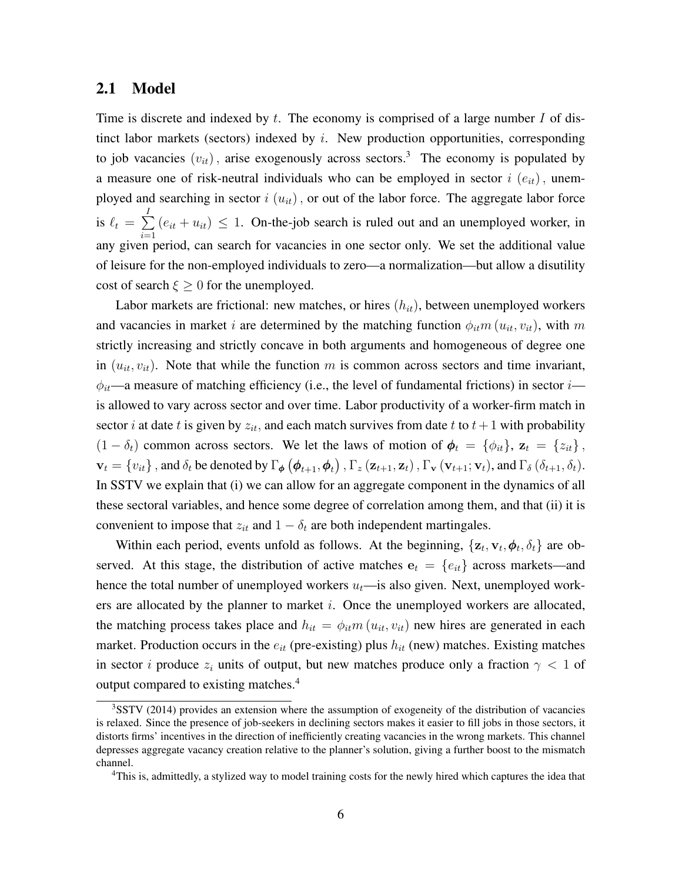#### 2.1 Model

Time is discrete and indexed by *t*. The economy is comprised of a large number *I* of distinct labor markets (sectors) indexed by *i*. New production opportunities, corresponding to job vacancies  $(v_{it})$ , arise exogenously across sectors.<sup>3</sup> The economy is populated by a measure one of risk-neutral individuals who can be employed in sector  $i(e_{it})$ , unemployed and searching in sector  $i(u_{it})$ , or out of the labor force. The aggregate labor force is  $\ell_t = \sum^I$ *i*=1  $(e_{it} + u_{it}) \leq 1$ . On-the-job search is ruled out and an unemployed worker, in any given period, can search for vacancies in one sector only. We set the additional value of leisure for the non-employed individuals to zero—a normalization—but allow a disutility cost of search  $\xi \geq 0$  for the unemployed.

Labor markets are frictional: new matches, or hires (*hit*), between unemployed workers and vacancies in market *i* are determined by the matching function  $\phi_{it}m(u_{it}, v_{it})$ , with *m* strictly increasing and strictly concave in both arguments and homogeneous of degree one in  $(u_{it}, v_{it})$ . Note that while the function *m* is common across sectors and time invariant,  $\phi_{it}$ —a measure of matching efficiency (i.e., the level of fundamental frictions) in sector *i* is allowed to vary across sector and over time. Labor productivity of a worker-firm match in sector *i* at date *t* is given by  $z_{it}$ , and each match survives from date *t* to  $t + 1$  with probability  $(1 - \delta_t)$  common across sectors. We let the laws of motion of  $\phi_t = {\phi_{it}}$ ,  $z_t = {z_{it}}$ ,  $\mathbf{v}_t = \{v_{it}\}\$ , and  $\delta_t$  be denoted by  $\Gamma_{\phi}(\boldsymbol{\phi}_{t+1}, \boldsymbol{\phi}_t)$ ,  $\Gamma_z(\mathbf{z}_{t+1}, \mathbf{z}_t)$ ,  $\Gamma_{\mathbf{v}}(\mathbf{v}_{t+1}; \mathbf{v}_t)$ , and  $\Gamma_{\delta}(\delta_{t+1}, \delta_t)$ . In SSTV we explain that (i) we can allow for an aggregate component in the dynamics of all these sectoral variables, and hence some degree of correlation among them, and that (ii) it is convenient to impose that  $z_{it}$  and  $1 - \delta_t$  are both independent martingales.

Within each period, events unfold as follows. At the beginning,  $\{z_t, v_t, \phi_t, \delta_t\}$  are observed. At this stage, the distribution of active matches  $e_t = \{e_{it}\}$  across markets—and hence the total number of unemployed workers  $u_t$ —is also given. Next, unemployed workers are allocated by the planner to market *i*. Once the unemployed workers are allocated, the matching process takes place and  $h_{it} = \phi_{it} m (u_{it}, v_{it})$  new hires are generated in each market. Production occurs in the *eit* (pre-existing) plus *hit* (new) matches. Existing matches in sector *i* produce  $z_i$  units of output, but new matches produce only a fraction  $\gamma < 1$  of output compared to existing matches.<sup>4</sup>

<sup>&</sup>lt;sup>3</sup>SSTV (2014) provides an extension where the assumption of exogeneity of the distribution of vacancies is relaxed. Since the presence of job-seekers in declining sectors makes it easier to fill jobs in those sectors, it distorts firms' incentives in the direction of inefficiently creating vacancies in the wrong markets. This channel depresses aggregate vacancy creation relative to the planner's solution, giving a further boost to the mismatch channel.

<sup>4</sup>This is, admittedly, a stylized way to model training costs for the newly hired which captures the idea that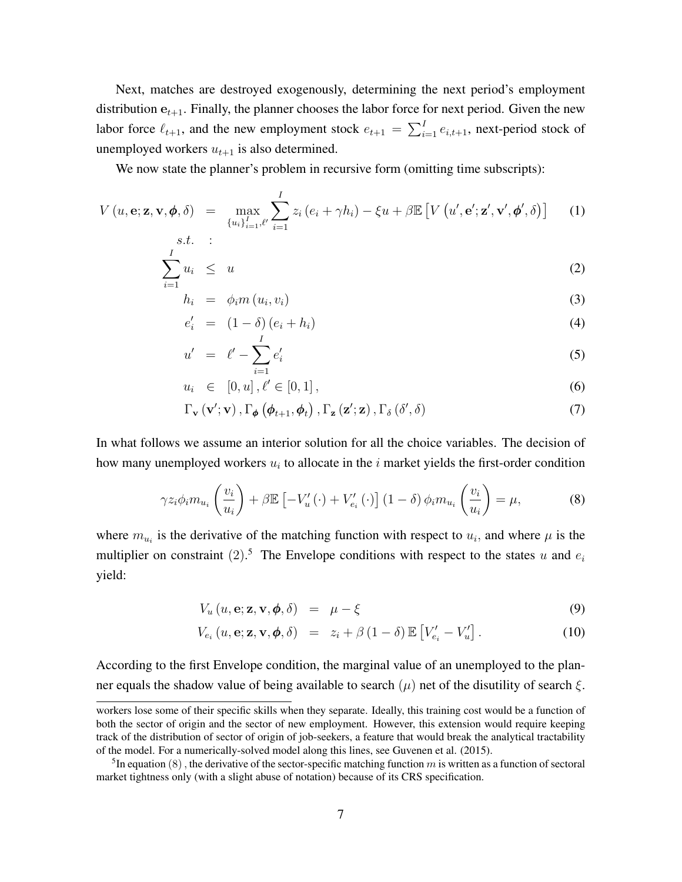Next, matches are destroyed exogenously, determining the next period's employment distribution  $e_{t+1}$ . Finally, the planner chooses the labor force for next period. Given the new labor force  $\ell_{t+1}$ , and the new employment stock  $e_{t+1} = \sum_{i=1}^{I} e_{i,t+1}$ , next-period stock of unemployed workers  $u_{t+1}$  is also determined.

We now state the planner's problem in recursive form (omitting time subscripts):

$$
V(u, \mathbf{e}; \mathbf{z}, \mathbf{v}, \boldsymbol{\phi}, \delta) = \max_{\{u_i\}_{i=1}^I, \ell'} \sum_{i=1}^I z_i (e_i + \gamma h_i) - \xi u + \beta \mathbb{E} \left[ V(u', \mathbf{e}'; \mathbf{z}', \mathbf{v}', \boldsymbol{\phi}', \delta) \right]
$$
(1)  
s.t. :

$$
\sum_{i=1}^{I} u_i \leq u \tag{2}
$$

$$
h_i = \phi_i m(u_i, v_i) \tag{3}
$$

$$
e'_{i} = (1 - \delta) (e_{i} + h_{i}) \tag{4}
$$

$$
u' = \ell' - \sum_{i=1}^{I} e'_i \tag{5}
$$

$$
u_i \in [0, u], \ell' \in [0, 1], \tag{6}
$$

$$
\Gamma_{\mathbf{v}}\left(\mathbf{v}';\mathbf{v}\right),\Gamma_{\boldsymbol{\phi}}\left(\boldsymbol{\phi}_{t+1},\boldsymbol{\phi}_{t}\right),\Gamma_{\mathbf{z}}\left(\mathbf{z}';\mathbf{z}\right),\Gamma_{\delta}\left(\delta',\delta\right)
$$
\n(7)

In what follows we assume an interior solution for all the choice variables. The decision of how many unemployed workers *u<sup>i</sup>* to allocate in the *i* market yields the first-order condition

$$
\gamma z_i \phi_i m_{u_i} \left( \frac{v_i}{u_i} \right) + \beta \mathbb{E} \left[ -V_u' \left( \cdot \right) + V_{e_i}' \left( \cdot \right) \right] \left( 1 - \delta \right) \phi_i m_{u_i} \left( \frac{v_i}{u_i} \right) = \mu,
$$
\n(8)

where  $m_{u_i}$  is the derivative of the matching function with respect to  $u_i$ , and where  $\mu$  is the multiplier on constraint  $(2)$ .<sup>5</sup> The Envelope conditions with respect to the states *u* and  $e_i$ yield:

$$
V_u(u, \mathbf{e}; \mathbf{z}, \mathbf{v}, \boldsymbol{\phi}, \delta) = \mu - \xi \tag{9}
$$

$$
V_{e_i}(u, \mathbf{e}; \mathbf{z}, \mathbf{v}, \boldsymbol{\phi}, \delta) = z_i + \beta (1 - \delta) \mathbb{E} \left[ V'_{e_i} - V'_u \right]. \tag{10}
$$

According to the first Envelope condition, the marginal value of an unemployed to the planner equals the shadow value of being available to search (*µ*) net of the disutility of search *ξ*.

workers lose some of their specific skills when they separate. Ideally, this training cost would be a function of both the sector of origin and the sector of new employment. However, this extension would require keeping track of the distribution of sector of origin of job-seekers, a feature that would break the analytical tractability of the model. For a numerically-solved model along this lines, see Guvenen et al. (2015).

<sup>&</sup>lt;sup>5</sup>In equation  $(8)$ , the derivative of the sector-specific matching function  $m$  is written as a function of sectoral market tightness only (with a slight abuse of notation) because of its CRS specification.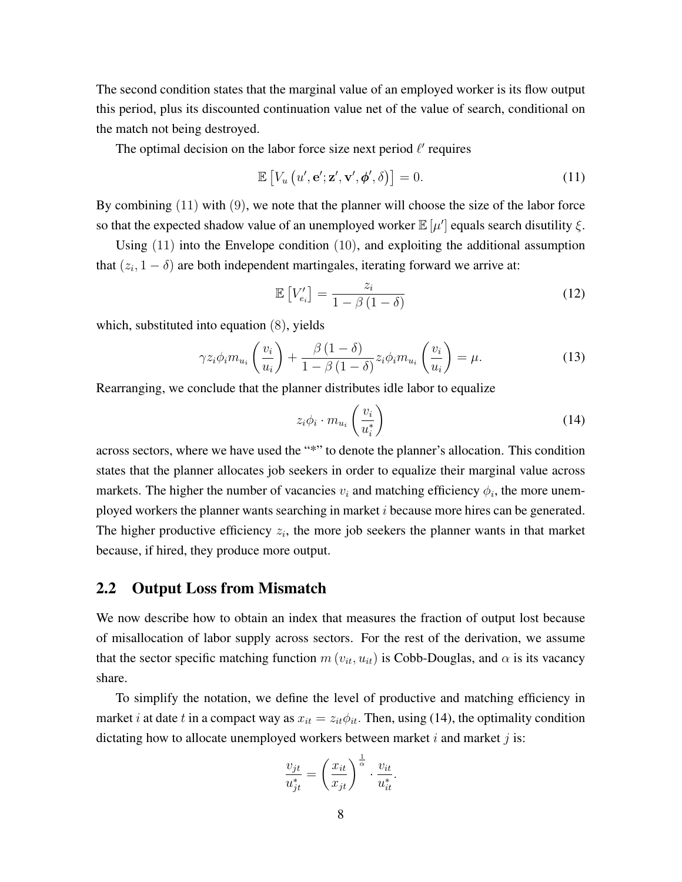The second condition states that the marginal value of an employed worker is its flow output this period, plus its discounted continuation value net of the value of search, conditional on the match not being destroyed.

The optimal decision on the labor force size next period *ℓ ′* requires

$$
\mathbb{E}\left[V_u\left(u',\mathbf{e}';\mathbf{z}',\mathbf{v}',\boldsymbol{\phi}',\delta\right)\right]=0.\tag{11}
$$

By combining (11) with (9), we note that the planner will choose the size of the labor force so that the expected shadow value of an unemployed worker  $\mathbb{E}[\mu']$  equals search disutility  $\xi$ .

Using (11) into the Envelope condition (10), and exploiting the additional assumption that  $(z_i, 1 - \delta)$  are both independent martingales, iterating forward we arrive at:

$$
\mathbb{E}\left[V'_{e_i}\right] = \frac{z_i}{1 - \beta\left(1 - \delta\right)}\tag{12}
$$

which, substituted into equation (8), yields

$$
\gamma z_i \phi_i m_{u_i} \left( \frac{v_i}{u_i} \right) + \frac{\beta (1 - \delta)}{1 - \beta (1 - \delta)} z_i \phi_i m_{u_i} \left( \frac{v_i}{u_i} \right) = \mu. \tag{13}
$$

Rearranging, we conclude that the planner distributes idle labor to equalize

$$
z_i \phi_i \cdot m_{u_i} \left(\frac{v_i}{u_i^*}\right) \tag{14}
$$

across sectors, where we have used the "\*" to denote the planner's allocation. This condition states that the planner allocates job seekers in order to equalize their marginal value across markets. The higher the number of vacancies  $v_i$  and matching efficiency  $\phi_i$ , the more unemployed workers the planner wants searching in market *i* because more hires can be generated. The higher productive efficiency  $z_i$ , the more job seekers the planner wants in that market because, if hired, they produce more output.

#### 2.2 Output Loss from Mismatch

We now describe how to obtain an index that measures the fraction of output lost because of misallocation of labor supply across sectors. For the rest of the derivation, we assume that the sector specific matching function  $m(v_{it}, u_{it})$  is Cobb-Douglas, and  $\alpha$  is its vacancy share.

To simplify the notation, we define the level of productive and matching efficiency in market *i* at date *t* in a compact way as  $x_{it} = z_{it} \phi_{it}$ . Then, using (14), the optimality condition dictating how to allocate unemployed workers between market *i* and market *j* is:

$$
\frac{v_{jt}}{u_{jt}^*} = \left(\frac{x_{it}}{x_{jt}}\right)^{\frac{1}{\alpha}} \cdot \frac{v_{it}}{u_{it}^*}.
$$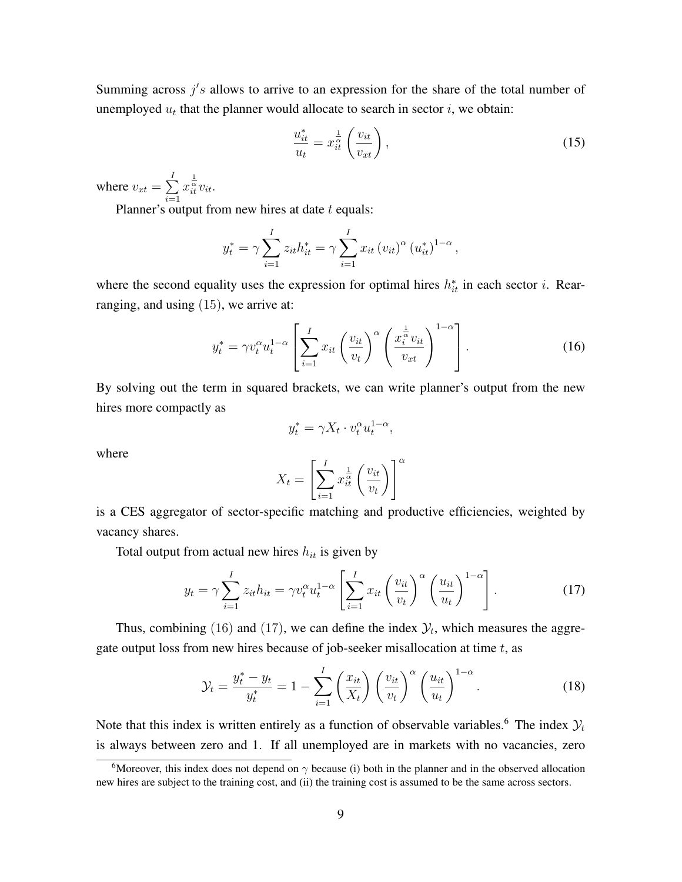Summing across  $j's$  allows to arrive to an expression for the share of the total number of unemployed  $u_t$  that the planner would allocate to search in sector  $i$ , we obtain:

$$
\frac{u_{it}^*}{u_t} = x_{it}^{\frac{1}{\alpha}} \left( \frac{v_{it}}{v_{xt}} \right),\tag{15}
$$

where  $v_{xt} = \sum_{ }^{I}$ *i*=1  $x_{it}^{\frac{1}{\alpha}}v_{it}$ .

Planner's output from new hires at date *t* equals:

$$
y_t^* = \gamma \sum_{i=1}^I z_{it} h_{it}^* = \gamma \sum_{i=1}^I x_{it} (v_{it})^{\alpha} (u_{it}^*)^{1-\alpha},
$$

where the second equality uses the expression for optimal hires  $h_{it}^*$  in each sector *i*. Rearranging, and using (15), we arrive at:

$$
y_t^* = \gamma v_t^{\alpha} u_t^{1-\alpha} \left[ \sum_{i=1}^I x_{it} \left( \frac{v_{it}}{v_t} \right)^{\alpha} \left( \frac{x_i^{\frac{1}{\alpha}} v_{it}}{v_{xt}} \right)^{1-\alpha} \right]. \tag{16}
$$

By solving out the term in squared brackets, we can write planner's output from the new hires more compactly as

$$
y_t^* = \gamma X_t \cdot v_t^{\alpha} u_t^{1-\alpha},
$$

where

$$
X_t = \left[\sum_{i=1}^I x_{it}^{\frac{1}{\alpha}} \left(\frac{v_{it}}{v_t}\right)\right]^{\alpha}
$$

is a CES aggregator of sector-specific matching and productive efficiencies, weighted by vacancy shares.

Total output from actual new hires *hit* is given by

$$
y_t = \gamma \sum_{i=1}^I z_{it} h_{it} = \gamma v_t^{\alpha} u_t^{1-\alpha} \left[ \sum_{i=1}^I x_{it} \left( \frac{v_{it}}{v_t} \right)^{\alpha} \left( \frac{u_{it}}{u_t} \right)^{1-\alpha} \right]. \tag{17}
$$

Thus, combining (16) and (17), we can define the index  $\mathcal{Y}_t$ , which measures the aggregate output loss from new hires because of job-seeker misallocation at time *t*, as

$$
\mathcal{Y}_t = \frac{y_t^* - y_t}{y_t^*} = 1 - \sum_{i=1}^I \left(\frac{x_{it}}{X_t}\right) \left(\frac{v_{it}}{v_t}\right)^\alpha \left(\frac{u_{it}}{u_t}\right)^{1-\alpha}.\tag{18}
$$

Note that this index is written entirely as a function of observable variables.<sup>6</sup> The index  $\mathcal{Y}_t$ is always between zero and 1. If all unemployed are in markets with no vacancies, zero

<sup>&</sup>lt;sup>6</sup>Moreover, this index does not depend on  $\gamma$  because (i) both in the planner and in the observed allocation new hires are subject to the training cost, and (ii) the training cost is assumed to be the same across sectors.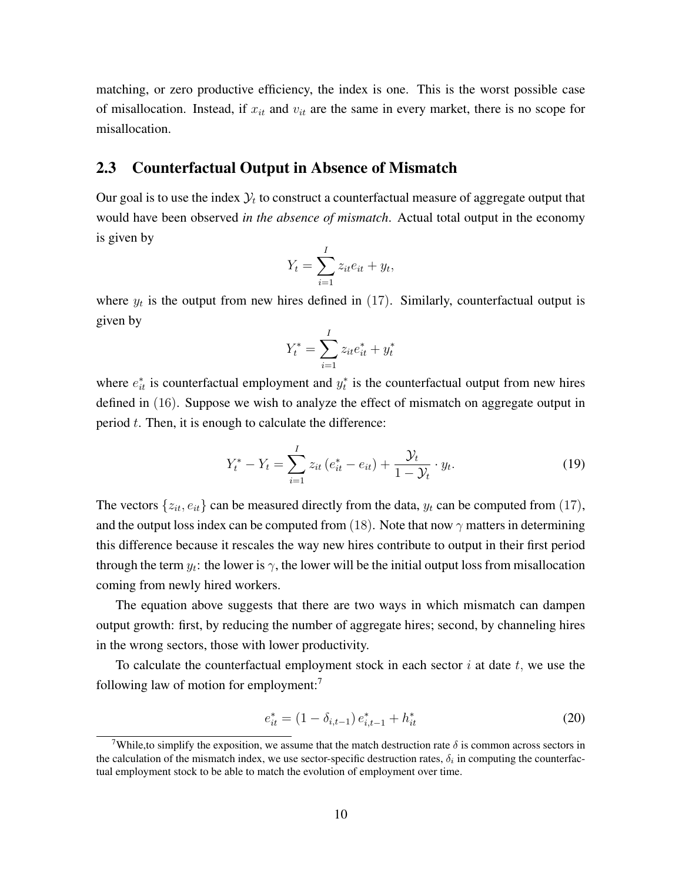matching, or zero productive efficiency, the index is one. This is the worst possible case of misallocation. Instead, if *xit* and *vit* are the same in every market, there is no scope for misallocation.

#### 2.3 Counterfactual Output in Absence of Mismatch

Our goal is to use the index  $\mathcal{Y}_t$  to construct a counterfactual measure of aggregate output that would have been observed *in the absence of mismatch*. Actual total output in the economy is given by

$$
Y_t = \sum_{i=1}^I z_{it} e_{it} + y_t,
$$

where  $y_t$  is the output from new hires defined in  $(17)$ . Similarly, counterfactual output is given by

$$
Y_t^* = \sum_{i=1}^I z_{it} e_{it}^* + y_t^*
$$

where  $e_{it}^*$  is counterfactual employment and  $y_t^*$  is the counterfactual output from new hires defined in (16). Suppose we wish to analyze the effect of mismatch on aggregate output in period *t*. Then, it is enough to calculate the difference:

$$
Y_t^* - Y_t = \sum_{i=1}^I z_{it} (e_{it}^* - e_{it}) + \frac{\mathcal{Y}_t}{1 - \mathcal{Y}_t} \cdot y_t.
$$
 (19)

The vectors  $\{z_{it}, e_{it}\}$  can be measured directly from the data,  $y_t$  can be computed from (17), and the output loss index can be computed from (18). Note that now  $\gamma$  matters in determining this difference because it rescales the way new hires contribute to output in their first period through the term  $y_t$ : the lower is  $\gamma$ , the lower will be the initial output loss from misallocation coming from newly hired workers.

The equation above suggests that there are two ways in which mismatch can dampen output growth: first, by reducing the number of aggregate hires; second, by channeling hires in the wrong sectors, those with lower productivity.

To calculate the counterfactual employment stock in each sector *i* at date *t,* we use the following law of motion for employment:<sup>7</sup>

$$
e_{it}^* = (1 - \delta_{i,t-1}) e_{i,t-1}^* + h_{it}^*
$$
\n(20)

<sup>&</sup>lt;sup>7</sup>While, to simplify the exposition, we assume that the match destruction rate  $\delta$  is common across sectors in the calculation of the mismatch index, we use sector-specific destruction rates,  $\delta_i$  in computing the counterfactual employment stock to be able to match the evolution of employment over time.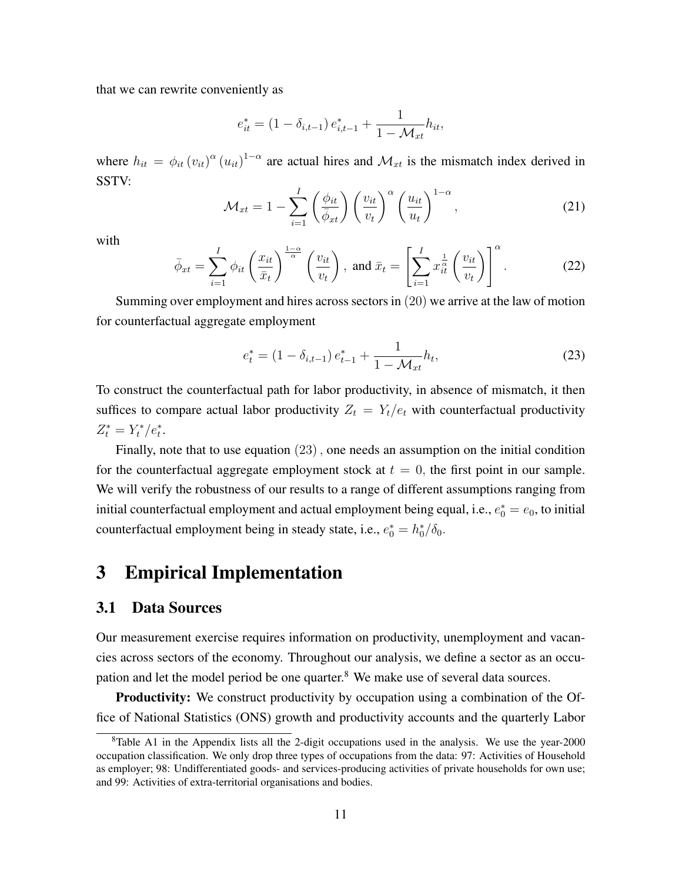that we can rewrite conveniently as

$$
e_{it}^* = (1 - \delta_{i,t-1}) e_{i,t-1}^* + \frac{1}{1 - \mathcal{M}_{xt}} h_{it},
$$

where  $h_{it} = \phi_{it}(v_{it})^{\alpha}(u_{it})^{1-\alpha}$  are actual hires and  $\mathcal{M}_{xt}$  is the mismatch index derived in SSTV:

$$
\mathcal{M}_{xt} = 1 - \sum_{i=1}^{I} \left(\frac{\phi_{it}}{\bar{\phi}_{xt}}\right) \left(\frac{v_{it}}{v_t}\right)^{\alpha} \left(\frac{u_{it}}{u_t}\right)^{1-\alpha},\tag{21}
$$

with

$$
\bar{\phi}_{xt} = \sum_{i=1}^{I} \phi_{it} \left(\frac{x_{it}}{\bar{x}_t}\right)^{\frac{1-\alpha}{\alpha}} \left(\frac{v_{it}}{v_t}\right), \text{ and } \bar{x}_t = \left[\sum_{i=1}^{I} x_{it}^{\frac{1}{\alpha}} \left(\frac{v_{it}}{v_t}\right)\right]^{\alpha}.
$$
 (22)

Summing over employment and hires across sectors in (20) we arrive at the law of motion for counterfactual aggregate employment

$$
e_t^* = (1 - \delta_{i, t-1}) e_{t-1}^* + \frac{1}{1 - \mathcal{M}_{xt}} h_t,
$$
\n(23)

To construct the counterfactual path for labor productivity, in absence of mismatch, it then suffices to compare actual labor productivity  $Z_t = Y_t/e_t$  with counterfactual productivity  $Z_t^* = Y_t^* / e_t^*$ .

Finally, note that to use equation (23)*,* one needs an assumption on the initial condition for the counterfactual aggregate employment stock at  $t = 0$ , the first point in our sample. We will verify the robustness of our results to a range of different assumptions ranging from initial counterfactual employment and actual employment being equal, i.e.,  $e_0^* = e_0$ , to initial counterfactual employment being in steady state, i.e.,  $e_0^* = h_0^* / \delta_0$ .

## 3 Empirical Implementation

#### 3.1 Data Sources

Our measurement exercise requires information on productivity, unemployment and vacancies across sectors of the economy. Throughout our analysis, we define a sector as an occupation and let the model period be one quarter.<sup>8</sup> We make use of several data sources.

**Productivity:** We construct productivity by occupation using a combination of the Office of National Statistics (ONS) growth and productivity accounts and the quarterly Labor

 $8$ Table A1 in the Appendix lists all the 2-digit occupations used in the analysis. We use the year-2000 occupation classification. We only drop three types of occupations from the data: 97: Activities of Household as employer; 98: Undifferentiated goods- and services-producing activities of private households for own use; and 99: Activities of extra-territorial organisations and bodies.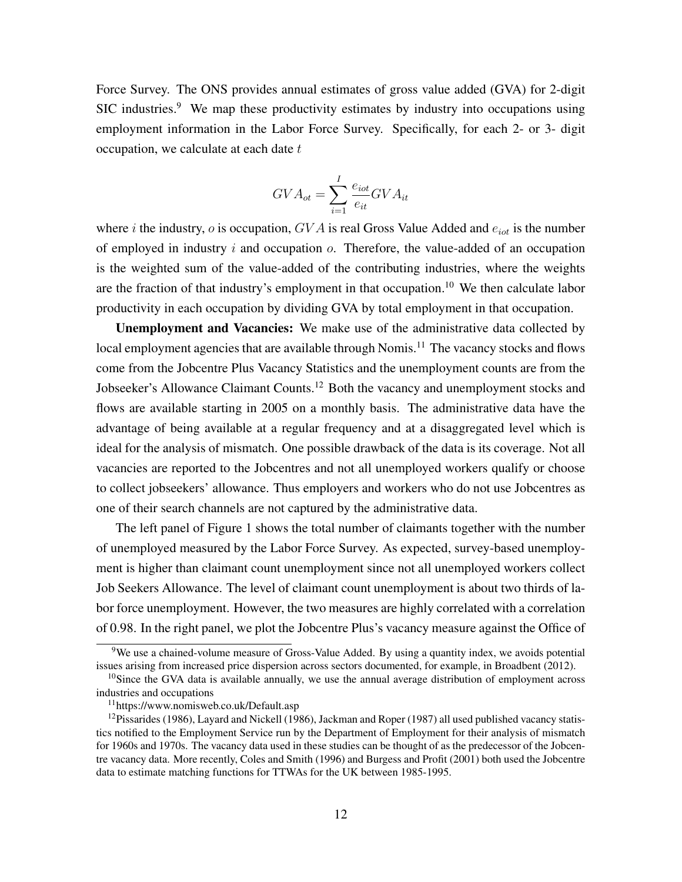Force Survey. The ONS provides annual estimates of gross value added (GVA) for 2-digit SIC industries.<sup>9</sup> We map these productivity estimates by industry into occupations using employment information in the Labor Force Survey. Specifically, for each 2- or 3- digit occupation, we calculate at each date *t*

$$
GVA_{ot} = \sum_{i=1}^{I} \frac{e_{iot}}{e_{it}} GVA_{it}
$$

where *i* the industry, *o* is occupation,  $GVA$  is real Gross Value Added and  $e_{iot}$  is the number of employed in industry *i* and occupation *o*. Therefore, the value-added of an occupation is the weighted sum of the value-added of the contributing industries, where the weights are the fraction of that industry's employment in that occupation.<sup>10</sup> We then calculate labor productivity in each occupation by dividing GVA by total employment in that occupation.

Unemployment and Vacancies: We make use of the administrative data collected by local employment agencies that are available through Nomis.<sup>11</sup> The vacancy stocks and flows come from the Jobcentre Plus Vacancy Statistics and the unemployment counts are from the Jobseeker's Allowance Claimant Counts.<sup>12</sup> Both the vacancy and unemployment stocks and flows are available starting in 2005 on a monthly basis. The administrative data have the advantage of being available at a regular frequency and at a disaggregated level which is ideal for the analysis of mismatch. One possible drawback of the data is its coverage. Not all vacancies are reported to the Jobcentres and not all unemployed workers qualify or choose to collect jobseekers' allowance. Thus employers and workers who do not use Jobcentres as one of their search channels are not captured by the administrative data.

The left panel of Figure 1 shows the total number of claimants together with the number of unemployed measured by the Labor Force Survey. As expected, survey-based unemployment is higher than claimant count unemployment since not all unemployed workers collect Job Seekers Allowance. The level of claimant count unemployment is about two thirds of labor force unemployment. However, the two measures are highly correlated with a correlation of 0.98. In the right panel, we plot the Jobcentre Plus's vacancy measure against the Office of

 $9$ We use a chained-volume measure of Gross-Value Added. By using a quantity index, we avoids potential issues arising from increased price dispersion across sectors documented, for example, in Broadbent (2012).

<sup>&</sup>lt;sup>10</sup>Since the GVA data is available annually, we use the annual average distribution of employment across industries and occupations

<sup>11</sup>https://www.nomisweb.co.uk/Default.asp

 $12$ Pissarides (1986), Layard and Nickell (1986), Jackman and Roper (1987) all used published vacancy statistics notified to the Employment Service run by the Department of Employment for their analysis of mismatch for 1960s and 1970s. The vacancy data used in these studies can be thought of as the predecessor of the Jobcentre vacancy data. More recently, Coles and Smith (1996) and Burgess and Profit (2001) both used the Jobcentre data to estimate matching functions for TTWAs for the UK between 1985-1995.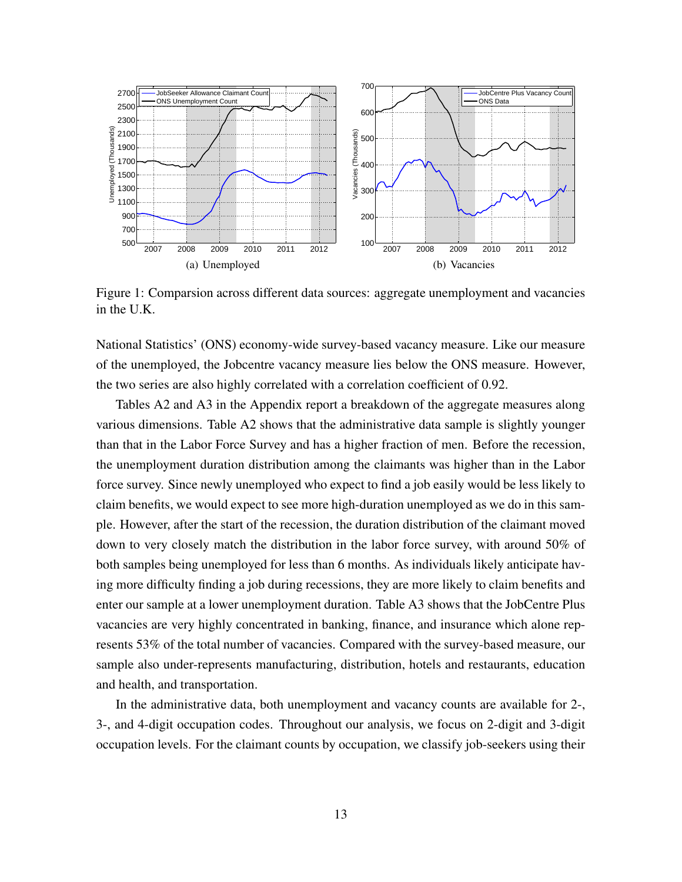

Figure 1: Comparsion across different data sources: aggregate unemployment and vacancies in the U.K.

National Statistics' (ONS) economy-wide survey-based vacancy measure. Like our measure of the unemployed, the Jobcentre vacancy measure lies below the ONS measure. However, the two series are also highly correlated with a correlation coefficient of 0.92.

Tables A2 and A3 in the Appendix report a breakdown of the aggregate measures along various dimensions. Table A2 shows that the administrative data sample is slightly younger than that in the Labor Force Survey and has a higher fraction of men. Before the recession, the unemployment duration distribution among the claimants was higher than in the Labor force survey. Since newly unemployed who expect to find a job easily would be less likely to claim benefits, we would expect to see more high-duration unemployed as we do in this sample. However, after the start of the recession, the duration distribution of the claimant moved down to very closely match the distribution in the labor force survey, with around 50% of both samples being unemployed for less than 6 months. As individuals likely anticipate having more difficulty finding a job during recessions, they are more likely to claim benefits and enter our sample at a lower unemployment duration. Table A3 shows that the JobCentre Plus vacancies are very highly concentrated in banking, finance, and insurance which alone represents 53% of the total number of vacancies. Compared with the survey-based measure, our sample also under-represents manufacturing, distribution, hotels and restaurants, education and health, and transportation.

In the administrative data, both unemployment and vacancy counts are available for 2-, 3-, and 4-digit occupation codes. Throughout our analysis, we focus on 2-digit and 3-digit occupation levels. For the claimant counts by occupation, we classify job-seekers using their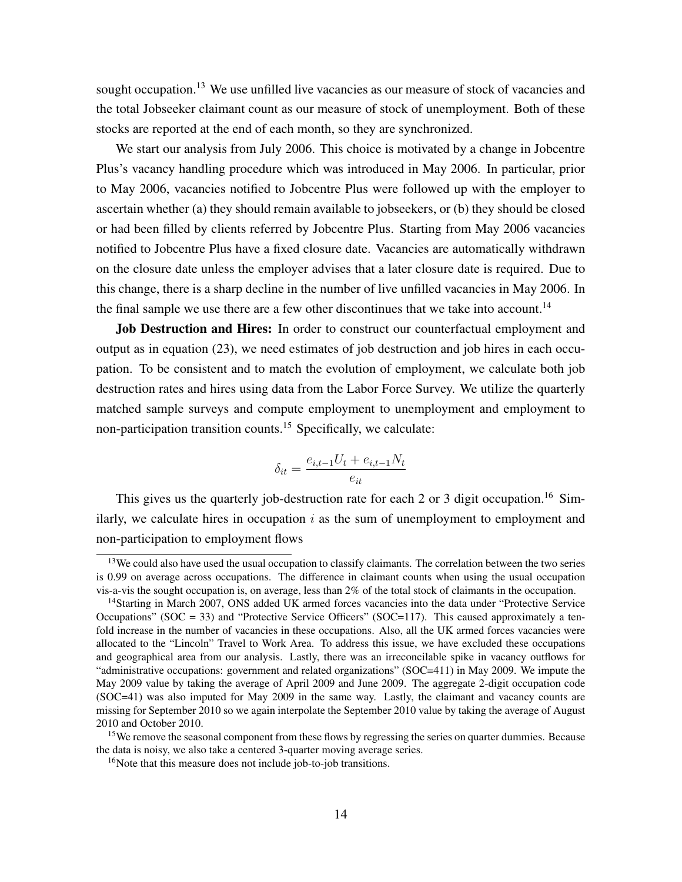sought occupation.<sup>13</sup> We use unfilled live vacancies as our measure of stock of vacancies and the total Jobseeker claimant count as our measure of stock of unemployment. Both of these stocks are reported at the end of each month, so they are synchronized.

We start our analysis from July 2006. This choice is motivated by a change in Jobcentre Plus's vacancy handling procedure which was introduced in May 2006. In particular, prior to May 2006, vacancies notified to Jobcentre Plus were followed up with the employer to ascertain whether (a) they should remain available to jobseekers, or (b) they should be closed or had been filled by clients referred by Jobcentre Plus. Starting from May 2006 vacancies notified to Jobcentre Plus have a fixed closure date. Vacancies are automatically withdrawn on the closure date unless the employer advises that a later closure date is required. Due to this change, there is a sharp decline in the number of live unfilled vacancies in May 2006. In the final sample we use there are a few other discontinues that we take into account.<sup>14</sup>

Job Destruction and Hires: In order to construct our counterfactual employment and output as in equation (23), we need estimates of job destruction and job hires in each occupation. To be consistent and to match the evolution of employment, we calculate both job destruction rates and hires using data from the Labor Force Survey. We utilize the quarterly matched sample surveys and compute employment to unemployment and employment to non-participation transition counts.<sup>15</sup> Specifically, we calculate:

$$
\delta_{it} = \frac{e_{i,t-1}U_t + e_{i,t-1}N_t}{e_{it}}
$$

This gives us the quarterly job-destruction rate for each 2 or 3 digit occupation.<sup>16</sup> Similarly, we calculate hires in occupation *i* as the sum of unemployment to employment and non-participation to employment flows

<sup>&</sup>lt;sup>13</sup>We could also have used the usual occupation to classify claimants. The correlation between the two series is 0.99 on average across occupations. The difference in claimant counts when using the usual occupation vis-a-vis the sought occupation is, on average, less than 2% of the total stock of claimants in the occupation.

<sup>&</sup>lt;sup>14</sup>Starting in March 2007, ONS added UK armed forces vacancies into the data under "Protective Service Occupations" (SOC = 33) and "Protective Service Officers" (SOC=117). This caused approximately a tenfold increase in the number of vacancies in these occupations. Also, all the UK armed forces vacancies were allocated to the "Lincoln" Travel to Work Area. To address this issue, we have excluded these occupations and geographical area from our analysis. Lastly, there was an irreconcilable spike in vacancy outflows for "administrative occupations: government and related organizations" (SOC=411) in May 2009. We impute the May 2009 value by taking the average of April 2009 and June 2009. The aggregate 2-digit occupation code (SOC=41) was also imputed for May 2009 in the same way. Lastly, the claimant and vacancy counts are missing for September 2010 so we again interpolate the September 2010 value by taking the average of August 2010 and October 2010.

<sup>&</sup>lt;sup>15</sup>We remove the seasonal component from these flows by regressing the series on quarter dummies. Because the data is noisy, we also take a centered 3-quarter moving average series.

<sup>&</sup>lt;sup>16</sup>Note that this measure does not include job-to-job transitions.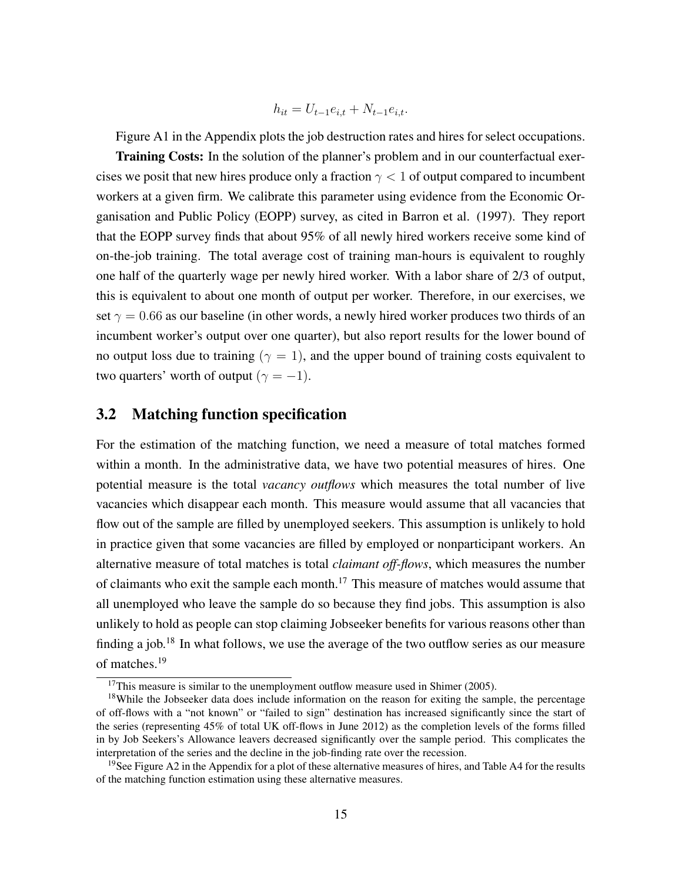$$
h_{it} = U_{t-1}e_{i,t} + N_{t-1}e_{i,t}.
$$

Figure A1 in the Appendix plots the job destruction rates and hires for select occupations.

**Training Costs:** In the solution of the planner's problem and in our counterfactual exercises we posit that new hires produce only a fraction *γ <* 1 of output compared to incumbent workers at a given firm. We calibrate this parameter using evidence from the Economic Organisation and Public Policy (EOPP) survey, as cited in Barron et al. (1997). They report that the EOPP survey finds that about 95% of all newly hired workers receive some kind of on-the-job training. The total average cost of training man-hours is equivalent to roughly one half of the quarterly wage per newly hired worker. With a labor share of 2/3 of output, this is equivalent to about one month of output per worker. Therefore, in our exercises, we set  $\gamma = 0.66$  as our baseline (in other words, a newly hired worker produces two thirds of an incumbent worker's output over one quarter), but also report results for the lower bound of no output loss due to training ( $\gamma = 1$ ), and the upper bound of training costs equivalent to two quarters' worth of output ( $\gamma = -1$ ).

#### 3.2 Matching function specification

For the estimation of the matching function, we need a measure of total matches formed within a month. In the administrative data, we have two potential measures of hires. One potential measure is the total *vacancy outflows* which measures the total number of live vacancies which disappear each month. This measure would assume that all vacancies that flow out of the sample are filled by unemployed seekers. This assumption is unlikely to hold in practice given that some vacancies are filled by employed or nonparticipant workers. An alternative measure of total matches is total *claimant off-flows*, which measures the number of claimants who exit the sample each month.<sup>17</sup> This measure of matches would assume that all unemployed who leave the sample do so because they find jobs. This assumption is also unlikely to hold as people can stop claiming Jobseeker benefits for various reasons other than finding a job.<sup>18</sup> In what follows, we use the average of the two outflow series as our measure of matches.<sup>19</sup>

 $17$ This measure is similar to the unemployment outflow measure used in Shimer (2005).

<sup>&</sup>lt;sup>18</sup>While the Jobseeker data does include information on the reason for exiting the sample, the percentage of off-flows with a "not known" or "failed to sign" destination has increased significantly since the start of the series (representing 45% of total UK off-flows in June 2012) as the completion levels of the forms filled in by Job Seekers's Allowance leavers decreased significantly over the sample period. This complicates the interpretation of the series and the decline in the job-finding rate over the recession.

<sup>&</sup>lt;sup>19</sup>See Figure A2 in the Appendix for a plot of these alternative measures of hires, and Table A4 for the results of the matching function estimation using these alternative measures.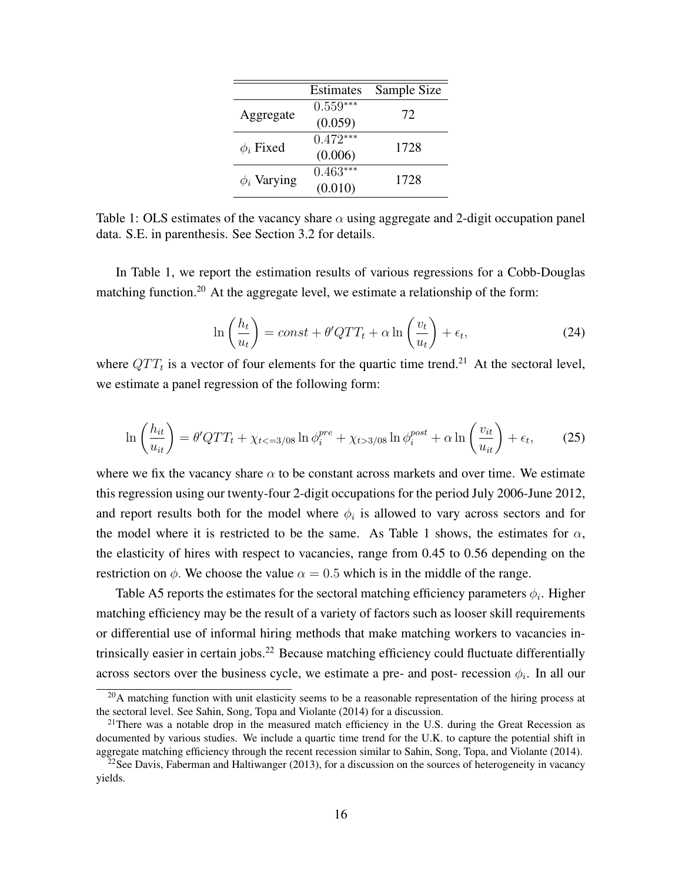|                  | Estimates  | Sample Size |
|------------------|------------|-------------|
| Aggregate        | $0.559***$ | 72          |
|                  | (0.059)    |             |
| $\phi_i$ Fixed   | $0.472***$ | 1728        |
|                  | (0.006)    |             |
| $\phi_i$ Varying | $0.463***$ | 1728        |
|                  | (0.010)    |             |

Table 1: OLS estimates of the vacancy share  $\alpha$  using aggregate and 2-digit occupation panel data. S.E. in parenthesis. See Section 3.2 for details.

In Table 1, we report the estimation results of various regressions for a Cobb-Douglas matching function.<sup>20</sup> At the aggregate level, we estimate a relationship of the form:

$$
\ln\left(\frac{h_t}{u_t}\right) = const + \theta' QTT_t + \alpha \ln\left(\frac{v_t}{u_t}\right) + \epsilon_t,
$$
\n(24)

where  $QTT_t$  is a vector of four elements for the quartic time trend.<sup>21</sup> At the sectoral level, we estimate a panel regression of the following form:

$$
\ln\left(\frac{h_{it}}{u_{it}}\right) = \theta' QTT_t + \chi_{t < = 3/08} \ln \phi_i^{pre} + \chi_{t > 3/08} \ln \phi_i^{post} + \alpha \ln\left(\frac{v_{it}}{u_{it}}\right) + \epsilon_t,\tag{25}
$$

where we fix the vacancy share  $\alpha$  to be constant across markets and over time. We estimate this regression using our twenty-four 2-digit occupations for the period July 2006-June 2012, and report results both for the model where  $\phi_i$  is allowed to vary across sectors and for the model where it is restricted to be the same. As Table 1 shows, the estimates for  $\alpha$ , the elasticity of hires with respect to vacancies, range from 0.45 to 0.56 depending on the restriction on  $\phi$ . We choose the value  $\alpha = 0.5$  which is in the middle of the range.

Table A5 reports the estimates for the sectoral matching efficiency parameters  $\phi_i$ . Higher matching efficiency may be the result of a variety of factors such as looser skill requirements or differential use of informal hiring methods that make matching workers to vacancies intrinsically easier in certain jobs.<sup>22</sup> Because matching efficiency could fluctuate differentially across sectors over the business cycle, we estimate a pre- and post- recession  $\phi_i$ . In all our

 $^{20}$ A matching function with unit elasticity seems to be a reasonable representation of the hiring process at the sectoral level. See Sahin, Song, Topa and Violante (2014) for a discussion.

<sup>&</sup>lt;sup>21</sup>There was a notable drop in the measured match efficiency in the U.S. during the Great Recession as documented by various studies. We include a quartic time trend for the U.K. to capture the potential shift in aggregate matching efficiency through the recent recession similar to Sahin, Song, Topa, and Violante (2014).

 $22$ See Davis, Faberman and Haltiwanger (2013), for a discussion on the sources of heterogeneity in vacancy yields.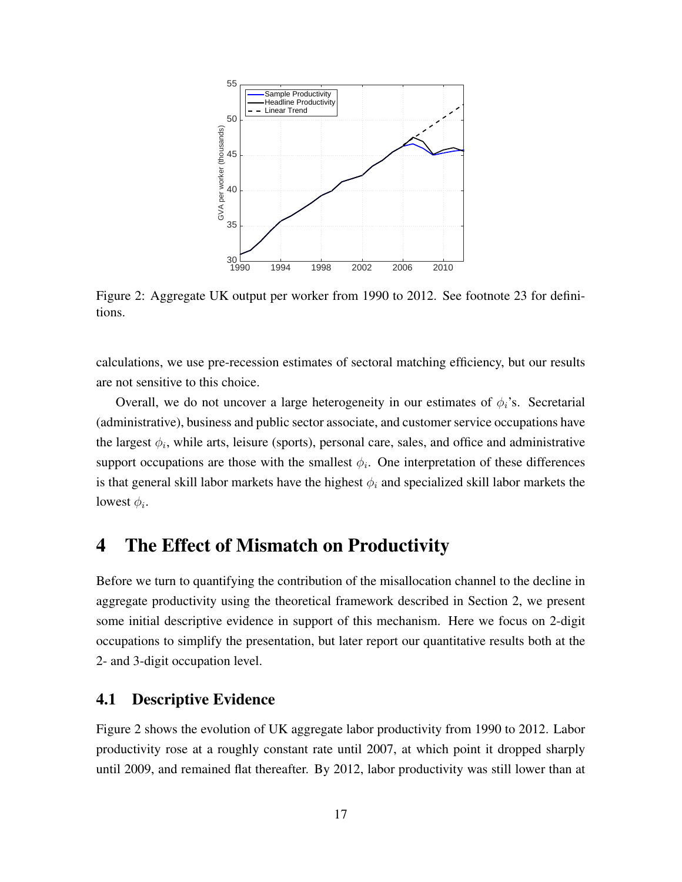

Figure 2: Aggregate UK output per worker from 1990 to 2012. See footnote 23 for definitions.

calculations, we use pre-recession estimates of sectoral matching efficiency, but our results are not sensitive to this choice.

Overall, we do not uncover a large heterogeneity in our estimates of  $\phi_i$ 's. Secretarial (administrative), business and public sector associate, and customer service occupations have the largest  $\phi_i$ , while arts, leisure (sports), personal care, sales, and office and administrative support occupations are those with the smallest  $\phi_i$ . One interpretation of these differences is that general skill labor markets have the highest  $\phi_i$  and specialized skill labor markets the lowest  $\phi_i$ .

### 4 The Effect of Mismatch on Productivity

Before we turn to quantifying the contribution of the misallocation channel to the decline in aggregate productivity using the theoretical framework described in Section 2, we present some initial descriptive evidence in support of this mechanism. Here we focus on 2-digit occupations to simplify the presentation, but later report our quantitative results both at the 2- and 3-digit occupation level.

#### 4.1 Descriptive Evidence

Figure 2 shows the evolution of UK aggregate labor productivity from 1990 to 2012. Labor productivity rose at a roughly constant rate until 2007, at which point it dropped sharply until 2009, and remained flat thereafter. By 2012, labor productivity was still lower than at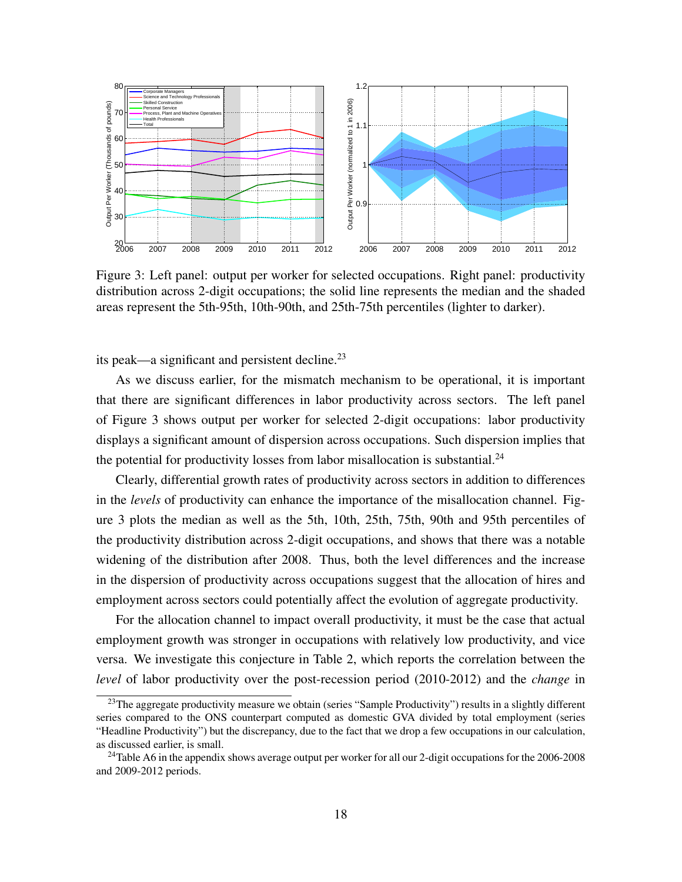

Figure 3: Left panel: output per worker for selected occupations. Right panel: productivity distribution across 2-digit occupations; the solid line represents the median and the shaded areas represent the 5th-95th, 10th-90th, and 25th-75th percentiles (lighter to darker).

its peak—a significant and persistent decline.<sup>23</sup>

As we discuss earlier, for the mismatch mechanism to be operational, it is important that there are significant differences in labor productivity across sectors. The left panel of Figure 3 shows output per worker for selected 2-digit occupations: labor productivity displays a significant amount of dispersion across occupations. Such dispersion implies that the potential for productivity losses from labor misallocation is substantial.<sup>24</sup>

Clearly, differential growth rates of productivity across sectors in addition to differences in the *levels* of productivity can enhance the importance of the misallocation channel. Figure 3 plots the median as well as the 5th, 10th, 25th, 75th, 90th and 95th percentiles of the productivity distribution across 2-digit occupations, and shows that there was a notable widening of the distribution after 2008. Thus, both the level differences and the increase in the dispersion of productivity across occupations suggest that the allocation of hires and employment across sectors could potentially affect the evolution of aggregate productivity.

For the allocation channel to impact overall productivity, it must be the case that actual employment growth was stronger in occupations with relatively low productivity, and vice versa. We investigate this conjecture in Table 2, which reports the correlation between the *level* of labor productivity over the post-recession period (2010-2012) and the *change* in

<sup>&</sup>lt;sup>23</sup>The aggregate productivity measure we obtain (series "Sample Productivity") results in a slightly different series compared to the ONS counterpart computed as domestic GVA divided by total employment (series "Headline Productivity") but the discrepancy, due to the fact that we drop a few occupations in our calculation, as discussed earlier, is small.

<sup>&</sup>lt;sup>24</sup>Table A6 in the appendix shows average output per worker for all our 2-digit occupations for the 2006-2008 and 2009-2012 periods.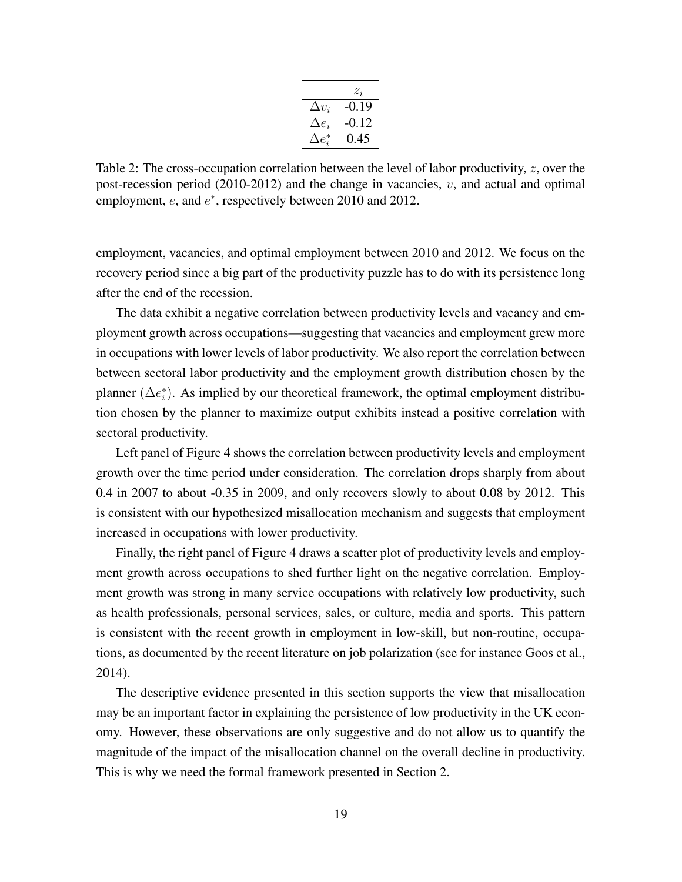|                | $z_i$   |
|----------------|---------|
| $\Delta v_i$   | $-0.19$ |
| $\Delta e_i$   | -0.12   |
| $\Delta e^*_i$ | 0.45    |

Table 2: The cross-occupation correlation between the level of labor productivity, *z*, over the post-recession period  $(2010-2012)$  and the change in vacancies,  $v$ , and actual and optimal employment, *e*, and *e ∗* , respectively between 2010 and 2012.

employment, vacancies, and optimal employment between 2010 and 2012. We focus on the recovery period since a big part of the productivity puzzle has to do with its persistence long after the end of the recession.

The data exhibit a negative correlation between productivity levels and vacancy and employment growth across occupations—suggesting that vacancies and employment grew more in occupations with lower levels of labor productivity. We also report the correlation between between sectoral labor productivity and the employment growth distribution chosen by the planner ( $\Delta e_i^*$ ). As implied by our theoretical framework, the optimal employment distribution chosen by the planner to maximize output exhibits instead a positive correlation with sectoral productivity.

Left panel of Figure 4 shows the correlation between productivity levels and employment growth over the time period under consideration. The correlation drops sharply from about 0.4 in 2007 to about -0.35 in 2009, and only recovers slowly to about 0.08 by 2012. This is consistent with our hypothesized misallocation mechanism and suggests that employment increased in occupations with lower productivity.

Finally, the right panel of Figure 4 draws a scatter plot of productivity levels and employment growth across occupations to shed further light on the negative correlation. Employment growth was strong in many service occupations with relatively low productivity, such as health professionals, personal services, sales, or culture, media and sports. This pattern is consistent with the recent growth in employment in low-skill, but non-routine, occupations, as documented by the recent literature on job polarization (see for instance Goos et al., 2014).

The descriptive evidence presented in this section supports the view that misallocation may be an important factor in explaining the persistence of low productivity in the UK economy. However, these observations are only suggestive and do not allow us to quantify the magnitude of the impact of the misallocation channel on the overall decline in productivity. This is why we need the formal framework presented in Section 2.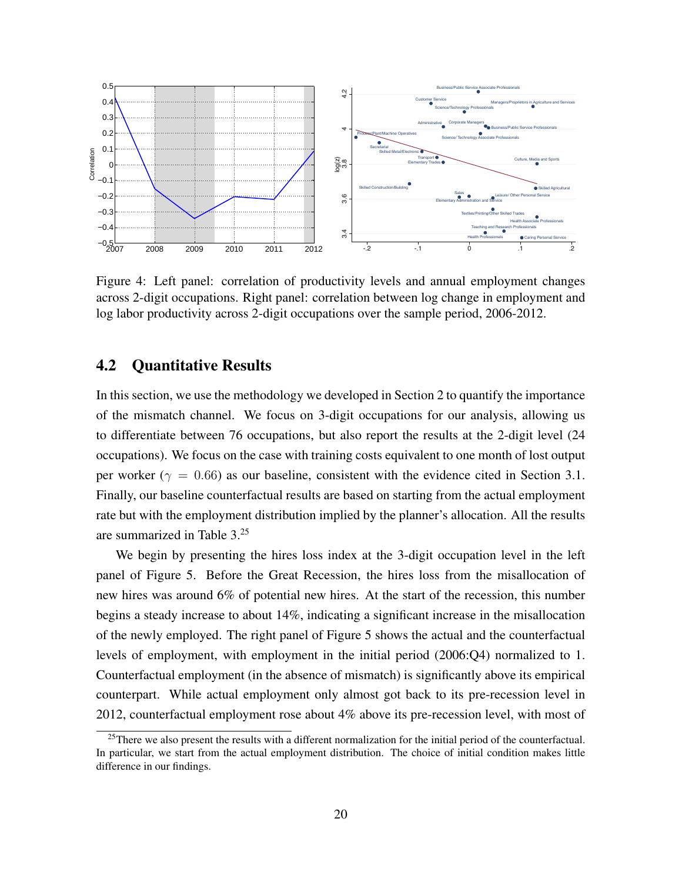

Figure 4: Left panel: correlation of productivity levels and annual employment changes across 2-digit occupations. Right panel: correlation between log change in employment and log labor productivity across 2-digit occupations over the sample period, 2006-2012.

#### 4.2 Quantitative Results

In this section, we use the methodology we developed in Section 2 to quantify the importance of the mismatch channel. We focus on 3-digit occupations for our analysis, allowing us to differentiate between 76 occupations, but also report the results at the 2-digit level (24 occupations). We focus on the case with training costs equivalent to one month of lost output per worker ( $\gamma = 0.66$ ) as our baseline, consistent with the evidence cited in Section 3.1. Finally, our baseline counterfactual results are based on starting from the actual employment rate but with the employment distribution implied by the planner's allocation. All the results are summarized in Table 3.<sup>25</sup>

We begin by presenting the hires loss index at the 3-digit occupation level in the left panel of Figure 5. Before the Great Recession, the hires loss from the misallocation of new hires was around 6% of potential new hires. At the start of the recession, this number begins a steady increase to about 14%, indicating a significant increase in the misallocation of the newly employed. The right panel of Figure 5 shows the actual and the counterfactual levels of employment, with employment in the initial period (2006:Q4) normalized to 1. Counterfactual employment (in the absence of mismatch) is significantly above its empirical counterpart. While actual employment only almost got back to its pre-recession level in 2012, counterfactual employment rose about 4% above its pre-recession level, with most of

<sup>&</sup>lt;sup>25</sup>There we also present the results with a different normalization for the initial period of the counterfactual. In particular, we start from the actual employment distribution. The choice of initial condition makes little difference in our findings.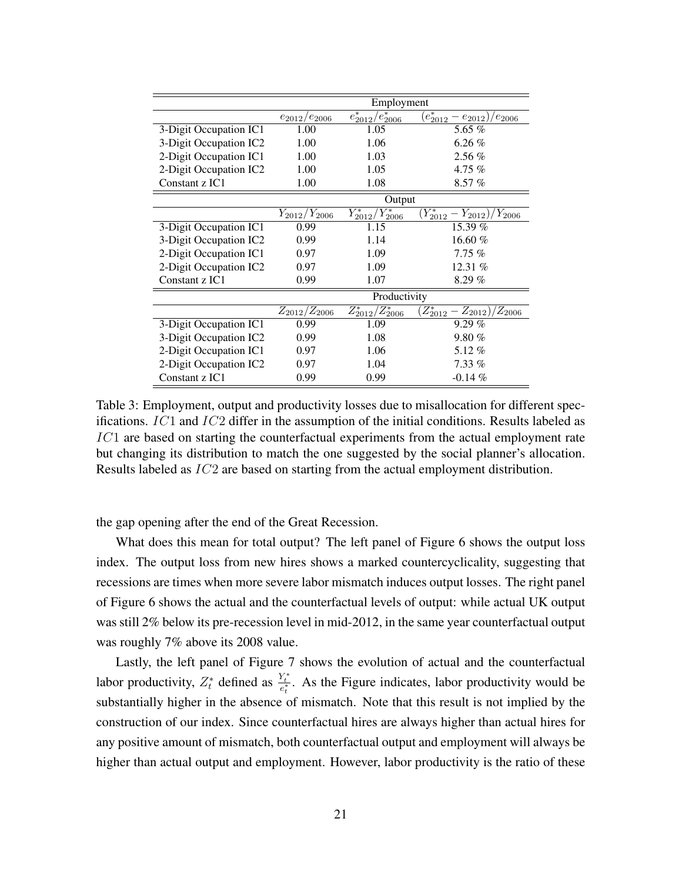|                        | Employment          |                         |                                         |
|------------------------|---------------------|-------------------------|-----------------------------------------|
|                        | $e_{2012}/e_{2006}$ | $e_{2012}^*/e_{2006}^*$ | $(e^*_{2012}-e_{2012})$<br>$e_{2006}$   |
| 3-Digit Occupation IC1 | 1.00                | 1.05                    | 5.65 $%$                                |
| 3-Digit Occupation IC2 | 1.00                | 1.06                    | $6.26\%$                                |
| 2-Digit Occupation IC1 | 1.00                | 1.03                    | $2.56\%$                                |
| 2-Digit Occupation IC2 | 1.00                | 1.05                    | 4.75 $%$                                |
| Constant z IC1         | 1.00                | 1.08                    | 8.57%                                   |
|                        |                     | Output                  |                                         |
|                        | $Y_{2012}/Y_{2006}$ | $Y_{2012}^*/Y_{2006}^*$ | $(Y_{2012}^* - Y_{2012})$<br>$Y_{2006}$ |
| 3-Digit Occupation IC1 | 0.99                | 1.15                    | 15.39 $%$                               |
| 3-Digit Occupation IC2 | 0.99                | 1.14                    | 16.60 $%$                               |
| 2-Digit Occupation IC1 | 0.97                | 1.09                    | 7.75%                                   |
| 2-Digit Occupation IC2 | 0.97                | 1.09                    | 12.31 $%$                               |
| Constant z IC1         | 0.99                | 1.07                    | 8.29%                                   |
|                        |                     | Productivity            |                                         |
|                        | $Z_{2012}/Z_{2006}$ | $Z_{2012}^*/Z_{2006}^*$ | $Z_{2012}^* - Z_{2012}$<br>$Z_{2006}$   |
| 3-Digit Occupation IC1 | 0.99                | 1.09                    | 9.29%                                   |
| 3-Digit Occupation IC2 | 0.99                | 1.08                    | $9.80\%$                                |
| 2-Digit Occupation IC1 | 0.97                | 1.06                    | 5.12%                                   |
| 2-Digit Occupation IC2 | 0.97                | 1.04                    | $7.33\%$                                |
| Constant z IC1         | 0.99                | 0.99                    | $-0.14\%$                               |

Table 3: Employment, output and productivity losses due to misallocation for different specifications. *IC*1 and *IC*2 differ in the assumption of the initial conditions. Results labeled as *IC*1 are based on starting the counterfactual experiments from the actual employment rate but changing its distribution to match the one suggested by the social planner's allocation. Results labeled as *IC*2 are based on starting from the actual employment distribution.

the gap opening after the end of the Great Recession.

What does this mean for total output? The left panel of Figure 6 shows the output loss index. The output loss from new hires shows a marked countercyclicality, suggesting that recessions are times when more severe labor mismatch induces output losses. The right panel of Figure 6 shows the actual and the counterfactual levels of output: while actual UK output was still 2% below its pre-recession level in mid-2012, in the same year counterfactual output was roughly 7% above its 2008 value.

Lastly, the left panel of Figure 7 shows the evolution of actual and the counterfactual labor productivity,  $Z_t^*$  defined as  $\frac{Y_t^*}{e_t^*}$ . As the Figure indicates, labor productivity would be substantially higher in the absence of mismatch. Note that this result is not implied by the construction of our index. Since counterfactual hires are always higher than actual hires for any positive amount of mismatch, both counterfactual output and employment will always be higher than actual output and employment. However, labor productivity is the ratio of these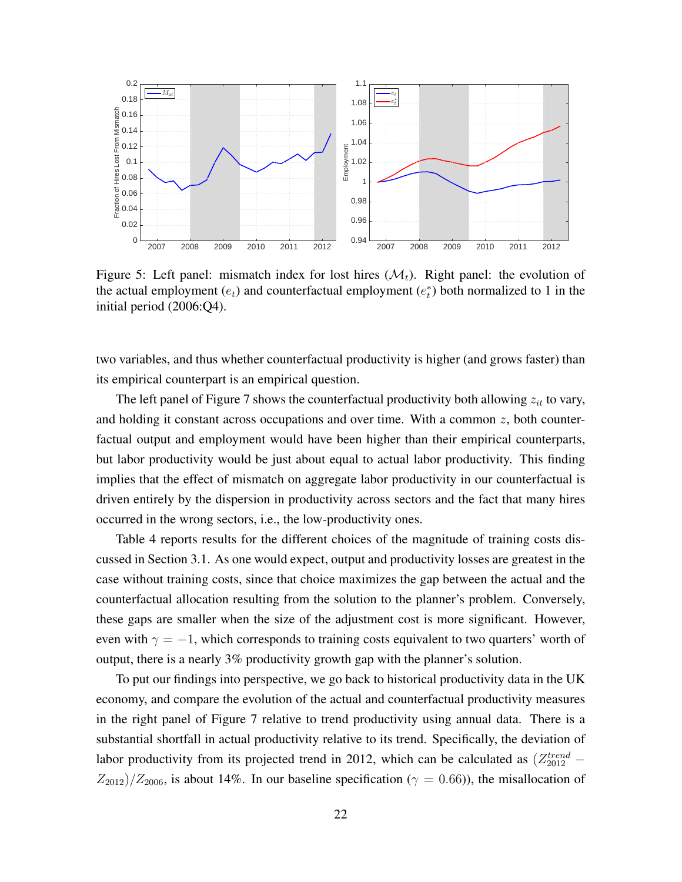

Figure 5: Left panel: mismatch index for lost hires  $(\mathcal{M}_t)$ . Right panel: the evolution of the actual employment  $(e_t)$  and counterfactual employment  $(e_t^*)$  both normalized to 1 in the initial period (2006:Q4).

two variables, and thus whether counterfactual productivity is higher (and grows faster) than its empirical counterpart is an empirical question.

The left panel of Figure 7 shows the counterfactual productivity both allowing *zit* to vary, and holding it constant across occupations and over time. With a common *z*, both counterfactual output and employment would have been higher than their empirical counterparts, but labor productivity would be just about equal to actual labor productivity. This finding implies that the effect of mismatch on aggregate labor productivity in our counterfactual is driven entirely by the dispersion in productivity across sectors and the fact that many hires occurred in the wrong sectors, i.e., the low-productivity ones.

Table 4 reports results for the different choices of the magnitude of training costs discussed in Section 3.1. As one would expect, output and productivity losses are greatest in the case without training costs, since that choice maximizes the gap between the actual and the counterfactual allocation resulting from the solution to the planner's problem. Conversely, these gaps are smaller when the size of the adjustment cost is more significant. However, even with  $\gamma = -1$ , which corresponds to training costs equivalent to two quarters' worth of output, there is a nearly 3% productivity growth gap with the planner's solution.

To put our findings into perspective, we go back to historical productivity data in the UK economy, and compare the evolution of the actual and counterfactual productivity measures in the right panel of Figure 7 relative to trend productivity using annual data. There is a substantial shortfall in actual productivity relative to its trend. Specifically, the deviation of labor productivity from its projected trend in 2012, which can be calculated as  $(Z_{2012}^{trend} Z_{2012}/Z_{2006}$ , is about 14%. In our baseline specification ( $\gamma = 0.66$ )), the misallocation of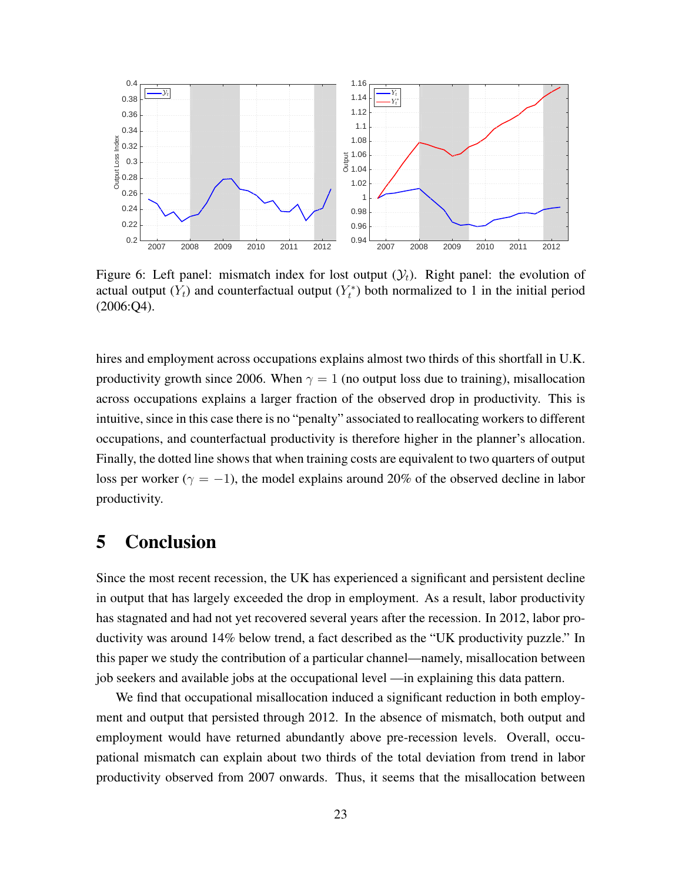

Figure 6: Left panel: mismatch index for lost output  $(\mathcal{Y}_t)$ . Right panel: the evolution of actual output  $(Y_t)$  and counterfactual output  $(Y_t^*)$  both normalized to 1 in the initial period (2006:Q4).

hires and employment across occupations explains almost two thirds of this shortfall in U.K. productivity growth since 2006. When  $\gamma = 1$  (no output loss due to training), misallocation across occupations explains a larger fraction of the observed drop in productivity. This is intuitive, since in this case there is no "penalty" associated to reallocating workers to different occupations, and counterfactual productivity is therefore higher in the planner's allocation. Finally, the dotted line shows that when training costs are equivalent to two quarters of output loss per worker ( $\gamma = -1$ ), the model explains around 20% of the observed decline in labor productivity.

## 5 Conclusion

Since the most recent recession, the UK has experienced a significant and persistent decline in output that has largely exceeded the drop in employment. As a result, labor productivity has stagnated and had not yet recovered several years after the recession. In 2012, labor productivity was around 14% below trend, a fact described as the "UK productivity puzzle." In this paper we study the contribution of a particular channel—namely, misallocation between job seekers and available jobs at the occupational level —in explaining this data pattern.

We find that occupational misallocation induced a significant reduction in both employment and output that persisted through 2012. In the absence of mismatch, both output and employment would have returned abundantly above pre-recession levels. Overall, occupational mismatch can explain about two thirds of the total deviation from trend in labor productivity observed from 2007 onwards. Thus, it seems that the misallocation between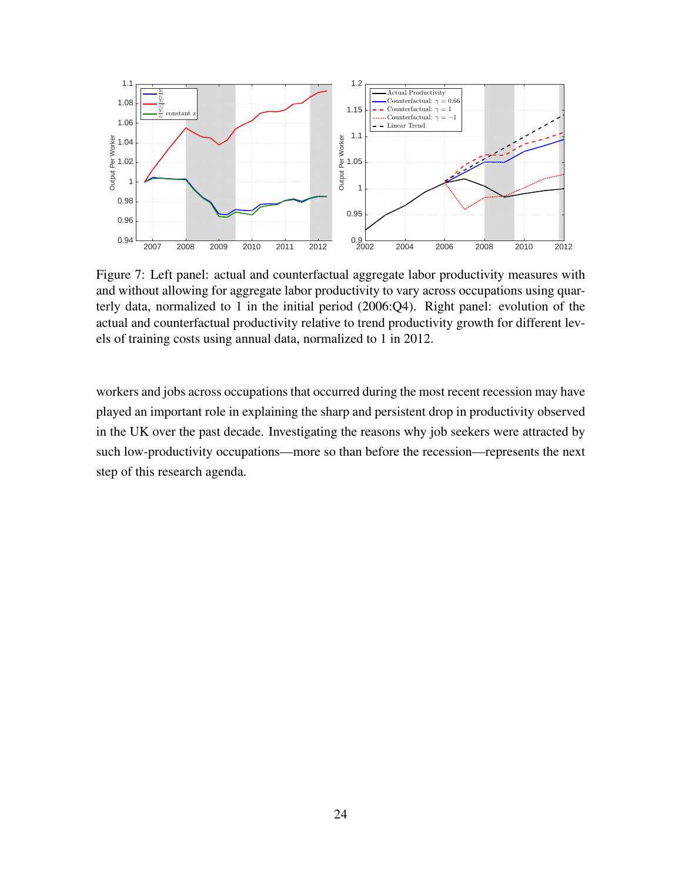

Figure 7: Left panel: actual and counterfactual aggregate labor productivity measures with and without allowing for aggregate labor productivity to vary across occupations using quarterly data, normalized to 1 in the initial period (2006:Q4). Right panel: evolution of the actual and counterfactual productivity relative to trend productivity growth for different levels of training costs using annual data, normalized to 1 in 2012.

workers and jobs across occupations that occurred during the most recent recession may have played an important role in explaining the sharp and persistent drop in productivity observed in the UK over the past decade. Investigating the reasons why job seekers were attracted by such low-productivity occupations—more so than before the recession—represents the next step of this research agenda.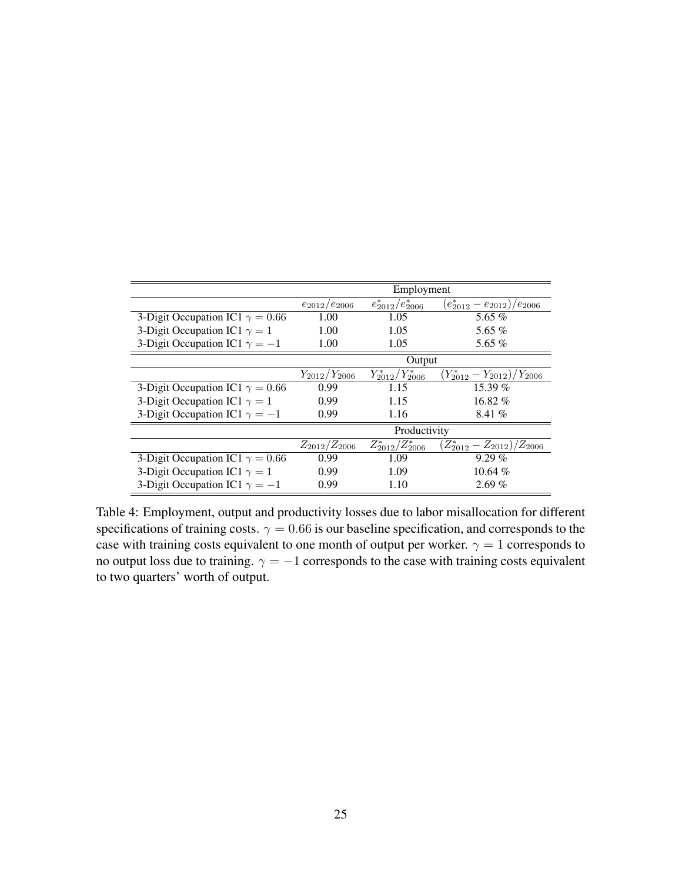|                                        | Employment          |                         |                                    |  |
|----------------------------------------|---------------------|-------------------------|------------------------------------|--|
|                                        | $e_{2012}/e_{2006}$ | $e_{2012}^*/e_{2006}^*$ | $(e_{2012}^* - e_{2012})/e_{2006}$ |  |
| 3-Digit Occupation IC1 $\gamma = 0.66$ | 1.00                | 1.05                    | 5.65 $%$                           |  |
| 3-Digit Occupation IC1 $\gamma = 1$    | 1.00                | 1.05                    | 5.65 $%$                           |  |
| 3-Digit Occupation IC1 $\gamma = -1$   | 1.00                | 1.05                    | 5.65 $%$                           |  |
|                                        | Output              |                         |                                    |  |
|                                        | $Y_{2012}/Y_{2006}$ | $Y_{2012}^*/Y_{2006}^*$ | $(Y_{2012}^* - Y_{2012})/Y_{2006}$ |  |
| 3-Digit Occupation IC1 $\gamma = 0.66$ | 0.99                | 1.15                    | 15.39 %                            |  |
| 3-Digit Occupation IC1 $\gamma = 1$    | 0.99                | 1.15                    | 16.82 $%$                          |  |
| 3-Digit Occupation IC1 $\gamma = -1$   | 0.99                | 1.16                    | 8.41 $%$                           |  |
|                                        | Productivity        |                         |                                    |  |
|                                        | $Z_{2012}/Z_{2006}$ | $Z_{2012}^*/Z_{2006}^*$ | $(Z^*_{2012}-Z_{2012})/Z_{2006}$   |  |
| 3-Digit Occupation IC1 $\gamma = 0.66$ | 0.99                | 1.09                    | 9.29%                              |  |
| 3-Digit Occupation IC1 $\gamma = 1$    | 0.99                | 1.09                    | 10.64 $%$                          |  |
| 3-Digit Occupation IC1 $\gamma = -1$   | 0.99                | 1.10                    | 2.69%                              |  |

Table 4: Employment, output and productivity losses due to labor misallocation for different specifications of training costs.  $\gamma = 0.66$  is our baseline specification, and corresponds to the case with training costs equivalent to one month of output per worker.  $\gamma = 1$  corresponds to no output loss due to training.  $\gamma = -1$  corresponds to the case with training costs equivalent to two quarters' worth of output.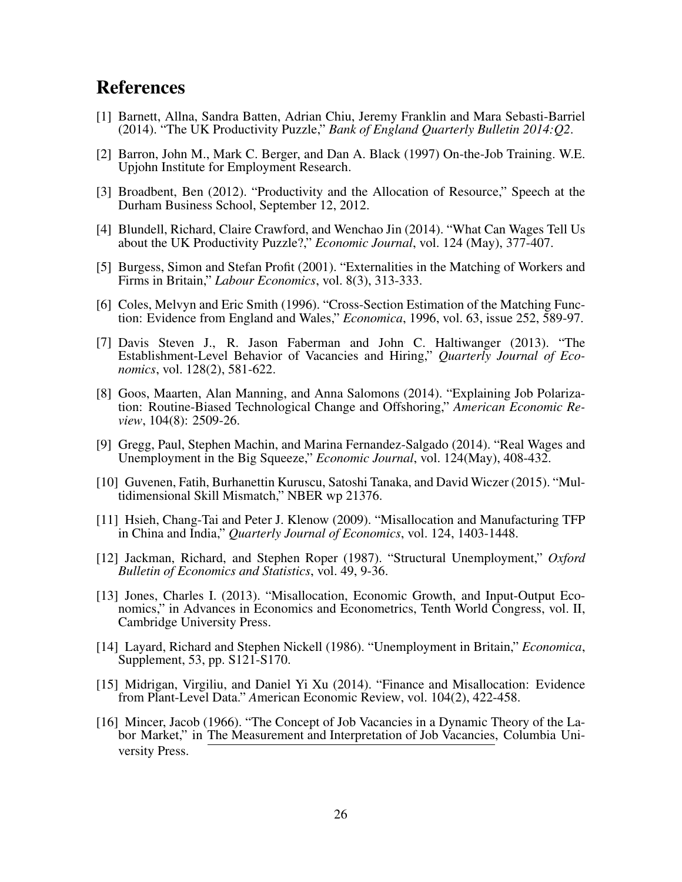## References

- [1] Barnett, Allna, Sandra Batten, Adrian Chiu, Jeremy Franklin and Mara Sebasti-Barriel (2014). "The UK Productivity Puzzle," *Bank of England Quarterly Bulletin 2014:Q2*.
- [2] Barron, John M., Mark C. Berger, and Dan A. Black (1997) On-the-Job Training. W.E. Upjohn Institute for Employment Research.
- [3] Broadbent, Ben (2012). "Productivity and the Allocation of Resource," Speech at the Durham Business School, September 12, 2012.
- [4] Blundell, Richard, Claire Crawford, and Wenchao Jin (2014). "What Can Wages Tell Us about the UK Productivity Puzzle?," *Economic Journal*, vol. 124 (May), 377-407.
- [5] Burgess, Simon and Stefan Profit (2001). "Externalities in the Matching of Workers and Firms in Britain," *Labour Economics*, vol. 8(3), 313-333.
- [6] Coles, Melvyn and Eric Smith (1996). "Cross-Section Estimation of the Matching Function: Evidence from England and Wales," *Economica*, 1996, vol. 63, issue 252, 589-97.
- [7] Davis Steven J., R. Jason Faberman and John C. Haltiwanger (2013). "The Establishment-Level Behavior of Vacancies and Hiring," *Quarterly Journal of Economics*, vol. 128(2), 581-622.
- [8] Goos, Maarten, Alan Manning, and Anna Salomons (2014). "Explaining Job Polarization: Routine-Biased Technological Change and Offshoring," *American Economic Review*, 104(8): 2509-26.
- [9] Gregg, Paul, Stephen Machin, and Marina Fernandez-Salgado (2014). "Real Wages and Unemployment in the Big Squeeze," *Economic Journal*, vol. 124(May), 408-432.
- [10] Guvenen, Fatih, Burhanettin Kuruscu, Satoshi Tanaka, and David Wiczer (2015). "Multidimensional Skill Mismatch," NBER wp 21376.
- [11] Hsieh, Chang-Tai and Peter J. Klenow (2009). "Misallocation and Manufacturing TFP in China and India," *Quarterly Journal of Economics*, vol. 124, 1403-1448.
- [12] Jackman, Richard, and Stephen Roper (1987). "Structural Unemployment," *Oxford Bulletin of Economics and Statistics*, vol. 49, 9-36.
- [13] Jones, Charles I. (2013). "Misallocation, Economic Growth, and Input-Output Economics," in Advances in Economics and Econometrics, Tenth World Congress, vol. II, Cambridge University Press.
- [14] Layard, Richard and Stephen Nickell (1986). "Unemployment in Britain," *Economica*, Supplement, 53, pp. S121-S170.
- [15] Midrigan, Virgiliu, and Daniel Yi Xu (2014). "Finance and Misallocation: Evidence from Plant-Level Data." *A*merican Economic Review, vol. 104(2), 422-458.
- [16] Mincer, Jacob (1966). "The Concept of Job Vacancies in a Dynamic Theory of the Labor Market," in The Measurement and Interpretation of Job Vacancies, Columbia University Press.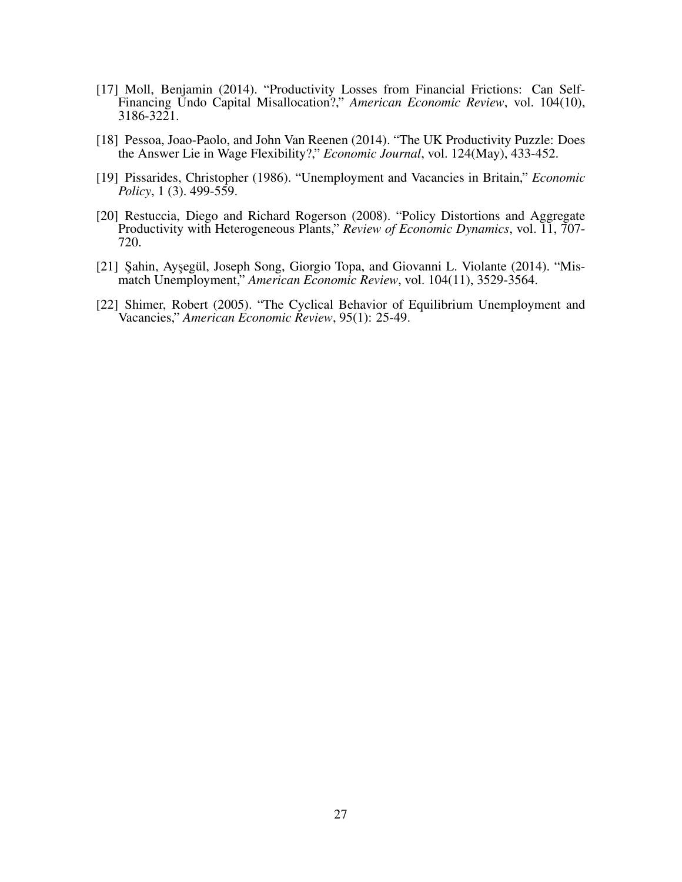- [17] Moll, Benjamin (2014). "Productivity Losses from Financial Frictions: Can Self-Financing Undo Capital Misallocation?," *American Economic Review*, vol. 104(10), 3186-3221.
- [18] Pessoa, Joao-Paolo, and John Van Reenen (2014). "The UK Productivity Puzzle: Does the Answer Lie in Wage Flexibility?," *Economic Journal*, vol. 124(May), 433-452.
- [19] Pissarides, Christopher (1986). "Unemployment and Vacancies in Britain," *Economic Policy*, 1 (3). 499-559.
- [20] Restuccia, Diego and Richard Rogerson (2008). "Policy Distortions and Aggregate Productivity with Heterogeneous Plants," *Review of Economic Dynamics*, vol. 11, 707- 720.
- [21] Sahin, Aysegül, Joseph Song, Giorgio Topa, and Giovanni L. Violante (2014). "Mismatch Unemployment," *American Economic Review*, vol. 104(11), 3529-3564.
- [22] Shimer, Robert (2005). "The Cyclical Behavior of Equilibrium Unemployment and Vacancies," *American Economic Review*, 95(1): 25-49.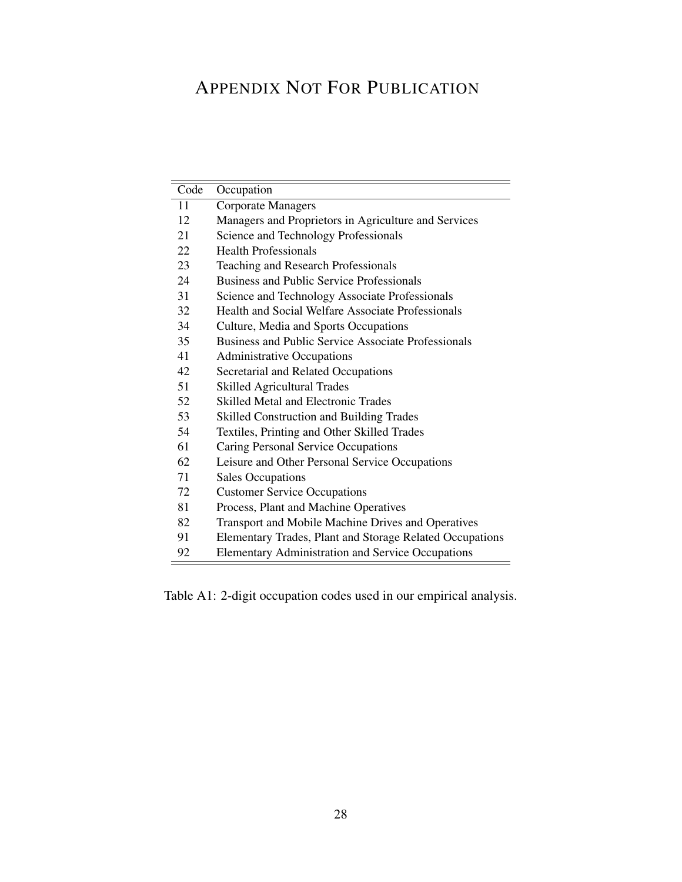## APPENDIX NOT FOR PUBLICATION

| Code | Occupation                                                 |
|------|------------------------------------------------------------|
| 11   | <b>Corporate Managers</b>                                  |
| 12   | Managers and Proprietors in Agriculture and Services       |
| 21   | Science and Technology Professionals                       |
| 22   | <b>Health Professionals</b>                                |
| 23   | <b>Teaching and Research Professionals</b>                 |
| 24   | <b>Business and Public Service Professionals</b>           |
| 31   | Science and Technology Associate Professionals             |
| 32   | <b>Health and Social Welfare Associate Professionals</b>   |
| 34   | Culture, Media and Sports Occupations                      |
| 35   | <b>Business and Public Service Associate Professionals</b> |
| 41   | <b>Administrative Occupations</b>                          |
| 42   | Secretarial and Related Occupations                        |
| 51   | <b>Skilled Agricultural Trades</b>                         |
| 52   | <b>Skilled Metal and Electronic Trades</b>                 |
| 53   | <b>Skilled Construction and Building Trades</b>            |
| 54   | Textiles, Printing and Other Skilled Trades                |
| 61   | Caring Personal Service Occupations                        |
| 62   | Leisure and Other Personal Service Occupations             |
| 71   | <b>Sales Occupations</b>                                   |
| 72   | <b>Customer Service Occupations</b>                        |
| 81   | Process, Plant and Machine Operatives                      |
| 82   | Transport and Mobile Machine Drives and Operatives         |
| 91   | Elementary Trades, Plant and Storage Related Occupations   |
| 92   | <b>Elementary Administration and Service Occupations</b>   |

Table A1: 2-digit occupation codes used in our empirical analysis.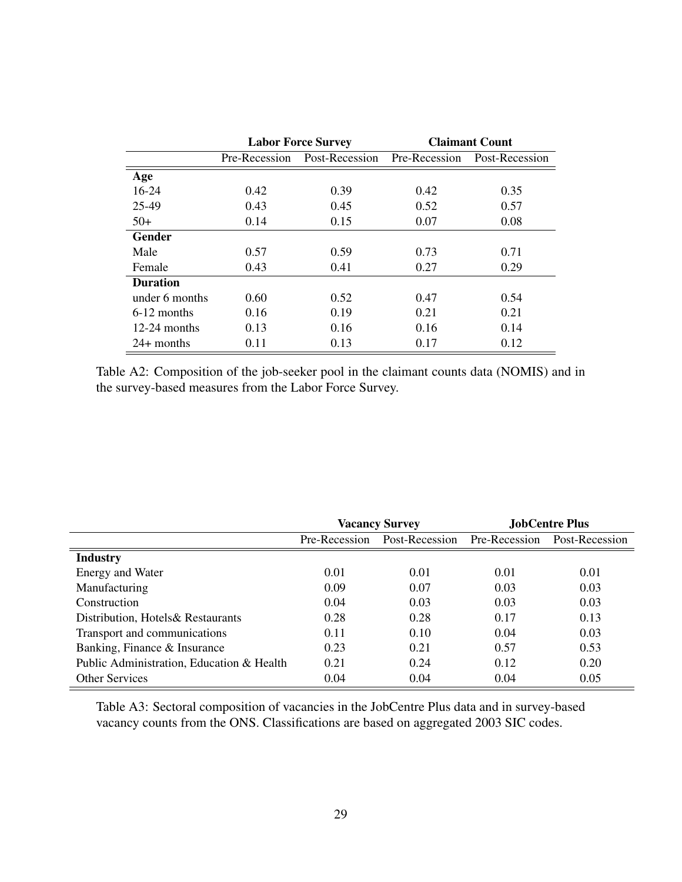|                 |      | <b>Labor Force Survey</b>    | <b>Claimant Count</b> |                |  |
|-----------------|------|------------------------------|-----------------------|----------------|--|
|                 |      | Pre-Recession Post-Recession | Pre-Recession         | Post-Recession |  |
| Age             |      |                              |                       |                |  |
| $16-24$         | 0.42 | 0.39                         | 0.42                  | 0.35           |  |
| 25-49           | 0.43 | 0.45                         | 0.52                  | 0.57           |  |
| $50+$           | 0.14 | 0.15                         | 0.07                  | 0.08           |  |
| Gender          |      |                              |                       |                |  |
| Male            | 0.57 | 0.59                         | 0.73                  | 0.71           |  |
| Female          | 0.43 | 0.41                         | 0.27                  | 0.29           |  |
| <b>Duration</b> |      |                              |                       |                |  |
| under 6 months  | 0.60 | 0.52                         | 0.47                  | 0.54           |  |
| $6-12$ months   | 0.16 | 0.19                         | 0.21                  | 0.21           |  |
| 12-24 months    | 0.13 | 0.16                         | 0.16                  | 0.14           |  |
| $24+$ months    | 0.11 | 0.13                         | 0.17                  | 0.12           |  |

Table A2: Composition of the job-seeker pool in the claimant counts data (NOMIS) and in the survey-based measures from the Labor Force Survey.

|                                           | <b>Vacancy Survey</b> |                              | <b>JobCentre Plus</b> |                |
|-------------------------------------------|-----------------------|------------------------------|-----------------------|----------------|
|                                           | Pre-Recession         | Post-Recession Pre-Recession |                       | Post-Recession |
| <b>Industry</b>                           |                       |                              |                       |                |
| Energy and Water                          | 0.01                  | 0.01                         | 0.01                  | 0.01           |
| Manufacturing                             | 0.09                  | 0.07                         | 0.03                  | 0.03           |
| Construction                              | 0.04                  | 0.03                         | 0.03                  | 0.03           |
| Distribution, Hotels & Restaurants        | 0.28                  | 0.28                         | 0.17                  | 0.13           |
| Transport and communications              | 0.11                  | 0.10                         | 0.04                  | 0.03           |
| Banking, Finance & Insurance              | 0.23                  | 0.21                         | 0.57                  | 0.53           |
| Public Administration, Education & Health | 0.21                  | 0.24                         | 0.12                  | 0.20           |
| <b>Other Services</b>                     | 0.04                  | 0.04                         | 0.04                  | 0.05           |

Table A3: Sectoral composition of vacancies in the JobCentre Plus data and in survey-based vacancy counts from the ONS. Classifications are based on aggregated 2003 SIC codes.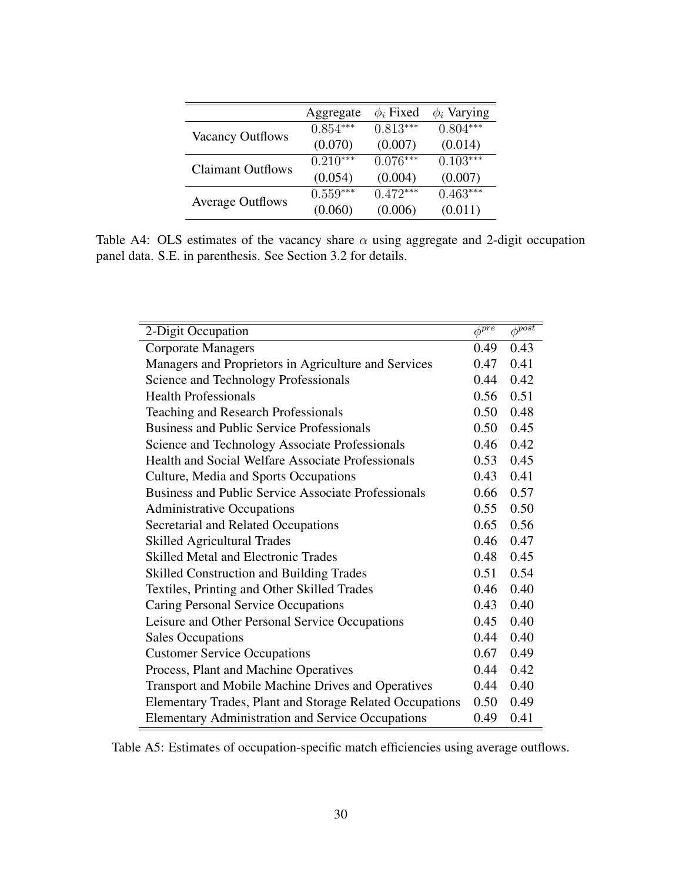|                          | Aggregate  | $\phi_i$ Fixed | $\phi_i$ Varying |
|--------------------------|------------|----------------|------------------|
|                          | $0.854***$ | $0.813***$     | $0.804***$       |
| <b>Vacancy Outflows</b>  | (0.070)    | (0.007)        | (0.014)          |
| <b>Claimant Outflows</b> | $0.210***$ | $0.076***$     | $0.103***$       |
|                          | (0.054)    | (0.004)        | (0.007)          |
| <b>Average Outflows</b>  | $0.559***$ | $0.472***$     | $0.463***$       |
|                          | (0.060)    | (0.006)        | (0.011)          |

Table A4: OLS estimates of the vacancy share *α* using aggregate and 2-digit occupation panel data. S.E. in parenthesis. See Section 3.2 for details.

|      | $\phi^{post}$           |
|------|-------------------------|
| 0.49 | 0.43                    |
| 0.47 | 0.41                    |
| 0.44 | 0.42                    |
| 0.56 | 0.51                    |
| 0.50 | 0.48                    |
| 0.50 | 0.45                    |
| 0.46 | 0.42                    |
| 0.53 | 0.45                    |
| 0.43 | 0.41                    |
| 0.66 | 0.57                    |
| 0.55 | 0.50                    |
| 0.65 | 0.56                    |
| 0.46 | 0.47                    |
| 0.48 | 0.45                    |
| 0.51 | 0.54                    |
| 0.46 | 0.40                    |
| 0.43 | 0.40                    |
| 0.45 | 0.40                    |
| 0.44 | 0.40                    |
| 0.67 | 0.49                    |
| 0.44 | 0.42                    |
| 0.44 | 0.40                    |
| 0.50 | 0.49                    |
| 0.49 | 0.41                    |
|      | $\phi^{\overline{pre}}$ |

Table A5: Estimates of occupation-specific match efficiencies using average outflows.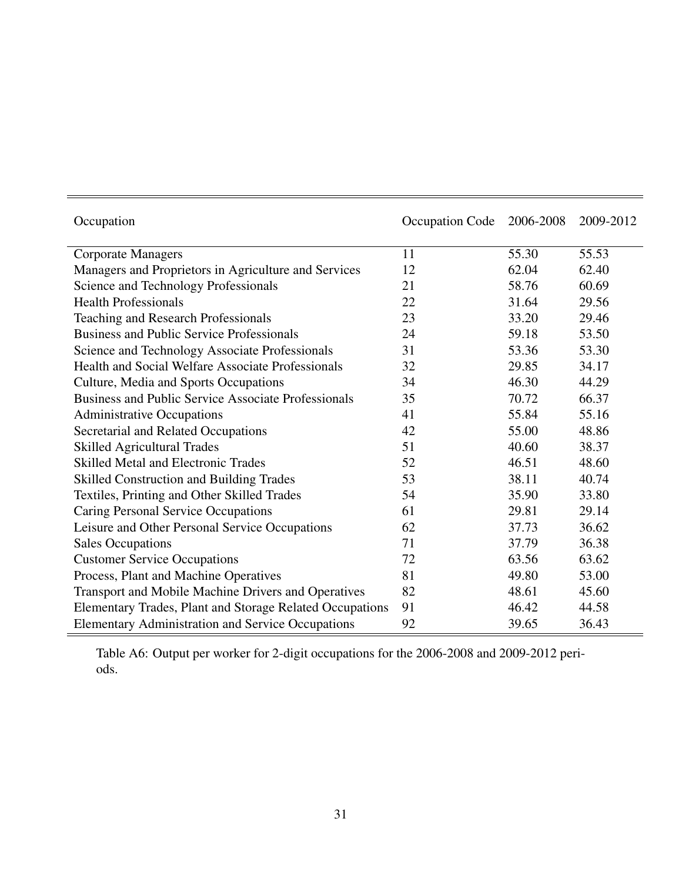| Occupation                                                 | Occupation Code | 2006-2008 | 2009-2012 |
|------------------------------------------------------------|-----------------|-----------|-----------|
| <b>Corporate Managers</b>                                  | 11              | 55.30     | 55.53     |
| Managers and Proprietors in Agriculture and Services       | 12              | 62.04     | 62.40     |
| Science and Technology Professionals                       | 21              | 58.76     | 60.69     |
| <b>Health Professionals</b>                                | 22              | 31.64     | 29.56     |
| Teaching and Research Professionals                        | 23              | 33.20     | 29.46     |
| <b>Business and Public Service Professionals</b>           | 24              | 59.18     | 53.50     |
| Science and Technology Associate Professionals             | 31              | 53.36     | 53.30     |
| <b>Health and Social Welfare Associate Professionals</b>   | 32              | 29.85     | 34.17     |
| Culture, Media and Sports Occupations                      | 34              | 46.30     | 44.29     |
| <b>Business and Public Service Associate Professionals</b> | 35              | 70.72     | 66.37     |
| <b>Administrative Occupations</b>                          | 41              | 55.84     | 55.16     |
| Secretarial and Related Occupations                        | 42              | 55.00     | 48.86     |
| <b>Skilled Agricultural Trades</b>                         | 51              | 40.60     | 38.37     |
| <b>Skilled Metal and Electronic Trades</b>                 | 52              | 46.51     | 48.60     |
| <b>Skilled Construction and Building Trades</b>            | 53              | 38.11     | 40.74     |
| Textiles, Printing and Other Skilled Trades                | 54              | 35.90     | 33.80     |
| Caring Personal Service Occupations                        | 61              | 29.81     | 29.14     |
| Leisure and Other Personal Service Occupations             | 62              | 37.73     | 36.62     |
| <b>Sales Occupations</b>                                   | 71              | 37.79     | 36.38     |
| <b>Customer Service Occupations</b>                        | 72              | 63.56     | 63.62     |
| Process, Plant and Machine Operatives                      | 81              | 49.80     | 53.00     |
| Transport and Mobile Machine Drivers and Operatives        | 82              | 48.61     | 45.60     |
| Elementary Trades, Plant and Storage Related Occupations   | 91              | 46.42     | 44.58     |
| <b>Elementary Administration and Service Occupations</b>   | 92              | 39.65     | 36.43     |

Table A6: Output per worker for 2-digit occupations for the 2006-2008 and 2009-2012 periods.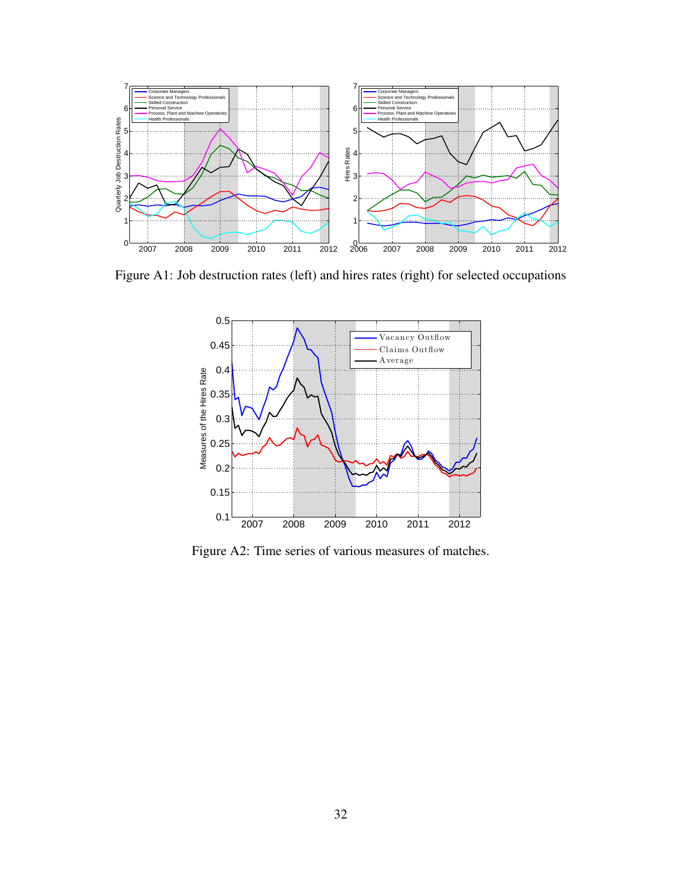

Figure A1: Job destruction rates (left) and hires rates (right) for selected occupations



Figure A2: Time series of various measures of matches.